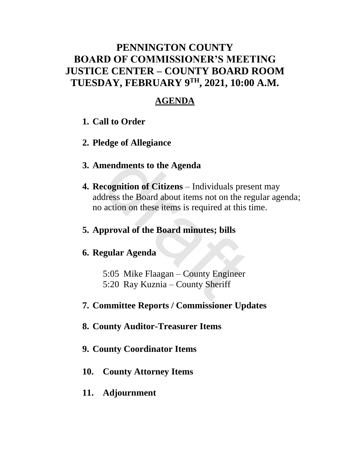### **PENNINGTON COUNTY BOARD OF COMMISSIONER'S MEETING JUSTICE CENTER – COUNTY BOARD ROOM TUESDAY, FEBRUARY 9TH , 2021, 10:00 A.M.**

### **AGENDA**

- **1. Call to Order**
- **2. Pledge of Allegiance**
- **3. Amendments to the Agenda**
- **4. Recognition of Citizens** Individuals present may address the Board about items not on the regular agenda; no action on these items is required at this time. mendments to the Agenda<br>ecognition of Citizens – Individuals pres<br>dress the Board about items not on the re<br>action on these items is required at this t<br>pproval of the Board minutes; bills<br>egular Agenda<br>5:05 Mike Flaagan –
- **5. Approval of the Board minutes; bills**

#### **6. Regular Agenda**

- 5:05 Mike Flaagan County Engineer
- 5:20 Ray Kuznia County Sheriff
- **7. Committee Reports / Commissioner Updates**
- **8. County Auditor-Treasurer Items**
- **9. County Coordinator Items**
- **10. County Attorney Items**
- **11. Adjournment**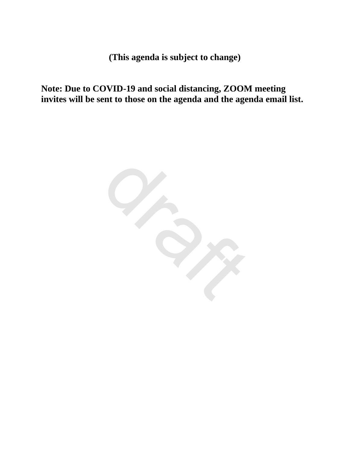**(This agenda is subject to change)**

**Note: Due to COVID-19 and social distancing, ZOOM meeting invites will be sent to those on the agenda and the agenda email list.**

draft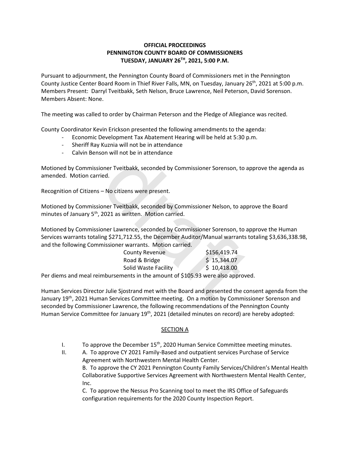#### **OFFICIAL PROCEEDINGS PENNINGTON COUNTY BOARD OF COMMISSIONERS TUESDAY, JANUARY 26TH , 2021, 5:00 P.M.**

Pursuant to adjournment, the Pennington County Board of Commissioners met in the Pennington County Justice Center Board Room in Thief River Falls, MN, on Tuesday, January 26<sup>th</sup>, 2021 at 5:00 p.m. Members Present: Darryl Tveitbakk, Seth Nelson, Bruce Lawrence, Neil Peterson, David Sorenson. Members Absent: None.

The meeting was called to order by Chairman Peterson and the Pledge of Allegiance was recited.

County Coordinator Kevin Erickson presented the following amendments to the agenda:

- Economic Development Tax Abatement Hearing will be held at 5:30 p.m.
- Sheriff Ray Kuznia will not be in attendance
- Calvin Benson will not be in attendance

Motioned by Commissioner Tveitbakk, seconded by Commissioner Sorenson, to approve the agenda as amended. Motion carried.

Recognition of Citizens – No citizens were present.

Motioned by Commissioner Tveitbakk, seconded by Commissioner Nelson, to approve the Board minutes of January 5<sup>th</sup>, 2021 as written. Motion carried.

Motioned by Commissioner Lawrence, seconded by Commissioner Sorenson, to approve the Human Services warrants totaling \$271,712.55, the December Auditor/Manual warrants totaling \$3,636,338.98, and the following Commissioner warrants. Motion carried. oner Tveitbakk, seconded by Commissioner Sorenson, to approach and the definition of the definition of Tveitbakk, seconded by Commissioner Nelson, to approved and the meaning of the meaning spectrum oner Lawrence, seconded

| <b>County Revenue</b> | \$156,419.74 |
|-----------------------|--------------|
| Road & Bridge         | \$15,344.07  |
| Solid Waste Facility  | \$10,418.00  |

Per diems and meal reimbursements in the amount of \$105.93 were also approved.

Human Services Director Julie Sjostrand met with the Board and presented the consent agenda from the January 19<sup>th</sup>, 2021 Human Services Committee meeting. On a motion by Commissioner Sorenson and seconded by Commissioner Lawrence, the following recommendations of the Pennington County Human Service Committee for January 19<sup>th</sup>, 2021 (detailed minutes on record) are hereby adopted:

#### SECTION A

- I. To approve the December  $15<sup>th</sup>$ , 2020 Human Service Committee meeting minutes.
- II. A. To approve CY 2021 Family-Based and outpatient services Purchase of Service Agreement with Northwestern Mental Health Center. B. To approve the CY 2021 Pennington County Family Services/Children's Mental Health Collaborative Supportive Services Agreement with Northwestern Mental Health Center, Inc.

C. To approve the Nessus Pro Scanning tool to meet the IRS Office of Safeguards configuration requirements for the 2020 County Inspection Report.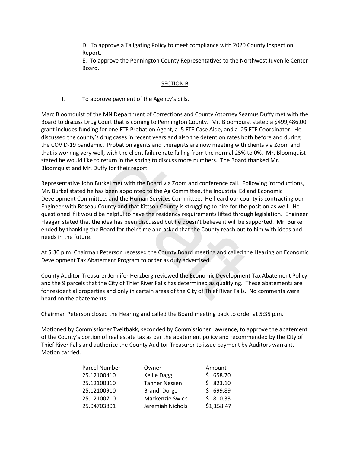D. To approve a Tailgating Policy to meet compliance with 2020 County Inspection Report.

E. To approve the Pennington County Representatives to the Northwest Juvenile Center Board.

#### SECTION B

I. To approve payment of the Agency's bills.

Marc Bloomquist of the MN Department of Corrections and County Attorney Seamus Duffy met with the Board to discuss Drug Court that is coming to Pennington County. Mr. Bloomquist stated a \$499,486.00 grant includes funding for one FTE Probation Agent, a .5 FTE Case Aide, and a .25 FTE Coordinator. He discussed the county's drug cases in recent years and also the detention rates both before and during the COVID-19 pandemic. Probation agents and therapists are now meeting with clients via Zoom and that is working very well, with the client failure rate falling from the normal 25% to 0%. Mr. Bloomquist stated he would like to return in the spring to discuss more numbers. The Board thanked Mr. Bloomquist and Mr. Duffy for their report.

Representative John Burkel met with the Board via Zoom and conference call. Following introductions, Mr. Burkel stated he has been appointed to the Ag Committee, the Industrial Ed and Economic Development Committee, and the Human Services Committee. He heard our county is contracting our Engineer with Roseau County and that Kittson County is struggling to hire for the position as well. He questioned if it would be helpful to have the residency requirements lifted through legislation. Engineer Flaagan stated that the idea has been discussed but he doesn't believe it will be supported. Mr. Burkel ended by thanking the Board for their time and asked that the County reach out to him with ideas and needs in the future. II, with the client failure rate falling from the normal 25% to<br>return in the spring to discuss more numbers. The Board tl<br>ffy for their report.<br>Irkel met with the Board via Zoom and conference call. Foll<br>is been appointed

At 5:30 p.m. Chairman Peterson recessed the County Board meeting and called the Hearing on Economic Development Tax Abatement Program to order as duly advertised.

County Auditor-Treasurer Jennifer Herzberg reviewed the Economic Development Tax Abatement Policy and the 9 parcels that the City of Thief River Falls has determined as qualifying. These abatements are for residential properties and only in certain areas of the City of Thief River Falls. No comments were heard on the abatements.

Chairman Peterson closed the Hearing and called the Board meeting back to order at 5:35 p.m.

Motioned by Commissioner Tveitbakk, seconded by Commissioner Lawrence, to approve the abatement of the County's portion of real estate tax as per the abatement policy and recommended by the City of Thief River Falls and authorize the County Auditor-Treasurer to issue payment by Auditors warrant. Motion carried.

| Parcel Number | Owner                | Amount     |
|---------------|----------------------|------------|
| 25.12100410   | <b>Kellie Dagg</b>   | \$658.70   |
| 25.12100310   | <b>Tanner Nessen</b> | \$823.10   |
| 25.12100910   | <b>Brandi Dorge</b>  | \$699.89   |
| 25.12100710   | Mackenzie Swick      | \$810.33   |
| 25.04703801   | Jeremiah Nichols     | \$1,158.47 |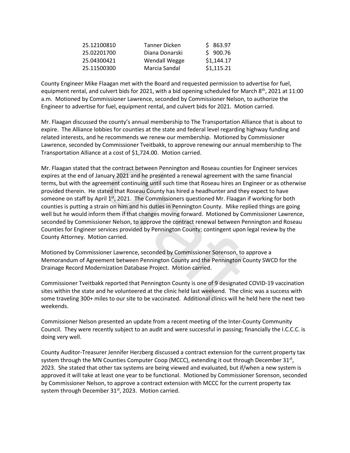| 25.12100810 | Tanner Dicken  | \$863.97   |
|-------------|----------------|------------|
| 25.02201700 | Diana Donarski | \$900.76   |
| 25.04300421 | Wendall Wegge  | \$1,144.17 |
| 25.11500300 | Marcia Sandal  | \$1,115.21 |

County Engineer Mike Flaagan met with the Board and requested permission to advertise for fuel, equipment rental, and culvert bids for 2021, with a bid opening scheduled for March 8<sup>th</sup>, 2021 at 11:00 a.m. Motioned by Commissioner Lawrence, seconded by Commissioner Nelson, to authorize the Engineer to advertise for fuel, equipment rental, and culvert bids for 2021. Motion carried.

Mr. Flaagan discussed the county's annual membership to The Transportation Alliance that is about to expire. The Alliance lobbies for counties at the state and federal level regarding highway funding and related interests, and he recommends we renew our membership. Motioned by Commissioner Lawrence, seconded by Commissioner Tveitbakk, to approve renewing our annual membership to The Transportation Alliance at a cost of \$1,724.00. Motion carried.

Mr. Flaagan stated that the contract between Pennington and Roseau counties for Engineer services expires at the end of January 2021 and he presented a renewal agreement with the same financial terms, but with the agreement continuing until such time that Roseau hires an Engineer or as otherwise provided therein. He stated that Roseau County has hired a headhunter and they expect to have someone on staff by April 1<sup>st</sup>, 2021. The Commissioners questioned Mr. Flaagan if working for both counties is putting a strain on him and his duties in Pennington County. Mike replied things are going well but he would inform them if that changes moving forward. Motioned by Commissioner Lawrence, seconded by Commissioner Nelson, to approve the contract renewal between Pennington and Roseau Counties for Engineer services provided by Pennington County; contingent upon legal review by the County Attorney. Motion carried. at a cost of \$1,724.00. Motion carried.<br>
the contract between Pennington and Roseau counties for<br>
nuary 2021 and he presented a renewal agreement with th<br>
eement continuing until such time that Roseau hires an Eng<br>
cated t

Motioned by Commissioner Lawrence, seconded by Commissioner Sorenson, to approve a Memorandum of Agreement between Pennington County and the Pennington County SWCD for the Drainage Record Modernization Database Project. Motion carried.

Commissioner Tveitbakk reported that Pennington County is one of 9 designated COVID-19 vaccination sites within the state and he volunteered at the clinic held last weekend. The clinic was a success with some traveling 300+ miles to our site to be vaccinated. Additional clinics will he held here the next two weekends.

Commissioner Nelson presented an update from a recent meeting of the Inter-County Community Council. They were recently subject to an audit and were successful in passing; financially the I.C.C.C. is doing very well.

County Auditor-Treasurer Jennifer Herzberg discussed a contract extension for the current property tax system through the MN Counties Computer Coop (MCCC), extending it out through December 31<sup>st</sup>, 2023. She stated that other tax systems are being viewed and evaluated, but if/when a new system is approved it will take at least one year to be functional. Motioned by Commissioner Sorenson, seconded by Commissioner Nelson, to approve a contract extension with MCCC for the current property tax system through December 31<sup>st</sup>, 2023. Motion carried.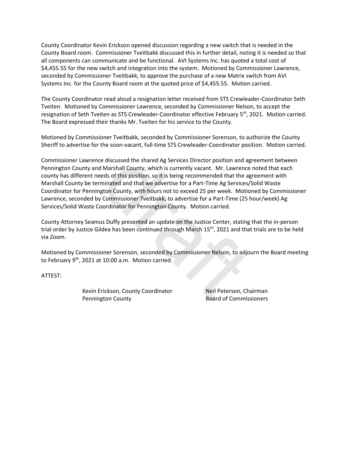County Coordinator Kevin Erickson opened discussion regarding a new switch that is needed in the County Board room. Commissioner Tveitbakk discussed this in further detail, noting it is needed so that all components can communicate and be functional. AVI Systems Inc. has quoted a total cost of \$4,455.55 for the new switch and integration into the system. Motioned by Commissioner Lawrence, seconded by Commissioner Tveitbakk, to approve the purchase of a new Matrix switch from AVI Systems Inc. for the County Board room at the quoted price of \$4,455.55. Motion carried.

The County Coordinator read aloud a resignation letter received from STS Crewleader-Coordinator Seth Tveiten. Motioned by Commissioner Lawrence, seconded by Commissioner Nelson, to accept the resignation of Seth Tveiten as STS Crewleader-Coordinator effective February 5<sup>th</sup>, 2021. Motion carried. The Board expressed their thanks Mr. Tveiten for his service to the County.

Motioned by Commissioner Tveitbakk, seconded by Commissioner Sorenson, to authorize the County Sheriff to advertise for the soon-vacant, full-time STS Crewleader-Coordinator position. Motion carried.

Commissioner Lawrence discussed the shared Ag Services Director position and agreement between Pennington County and Marshall County, which is currently vacant. Mr. Lawrence noted that each county has different needs of this position, so it is being recommended that the agreement with Marshall County be terminated and that we advertise for a Part-Time Ag Services/Solid Waste Coordinator for Pennington County, with hours not to exceed 25 per week. Motioned by Commissioner Lawrence, seconded by Commissioner Tveitbakk, to advertise for a Part-Time (25 hour/week) Ag Services/Solid Waste Coordinator for Pennington County. Motion carried. e discussed the shared Ag Services Director position and ag<br>
Marshall County, which is currently vacant. Mr. Lawrence<br>
eds of this position, so it is being recommended that the ag<br>
minated and that we advertise for a Part-

County Attorney Seamus Duffy presented an update on the Justice Center, stating that the in-person trial order by Justice Gildea has been continued through March 15<sup>th</sup>, 2021 and that trials are to be held via Zoom.

Motioned by Commissioner Sorenson, seconded by Commissioner Nelson, to adjourn the Board meeting to February 9<sup>th</sup>, 2021 at 10:00 a.m. Motion carried.

ATTEST:

Kevin Erickson, County Coordinator Neil Peterson, Chairman Pennington County **Board of Commissioners**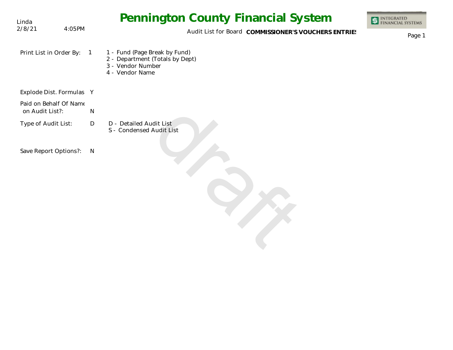| Linda                                     |        |     | <b>Pennington County Financial System</b>                                                                | <b>INTEGRATED</b><br><b>NANCIAL SYSTEMS</b> |
|-------------------------------------------|--------|-----|----------------------------------------------------------------------------------------------------------|---------------------------------------------|
| 2/8/21                                    | 4:05PM |     | Audit List for Board COMMISSIONER'S VOUCHERS ENTRIES                                                     | Page 1                                      |
| Print List in Order By:                   |        |     | 1 - Fund (Page Break by Fund)<br>2 - Department (Totals by Dept)<br>3 - Vendor Number<br>4 - Vendor Name |                                             |
| Explode Dist. Formulas Y                  |        |     |                                                                                                          |                                             |
| Paid on Behalf Of Name<br>on Audit List?: |        | N   |                                                                                                          |                                             |
| Type of Audit List:                       |        | D   | D - Detailed Audit List<br>S - Condensed Audit List                                                      |                                             |
| Save Report Options?:                     |        | - N |                                                                                                          |                                             |

draft der Reichstand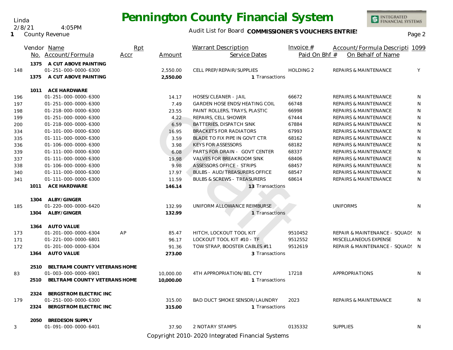Linda 2/8/21 4:05PM

**1** County Revenue

#### Audit List for Board COMMISSIONER'S VOUCHERS ENTRIES<br>Page 2

INTEGRATED<br>FINANCIAL SYSTEMS

|     |      | Vendor Name                              | Rpt  |           | Warrant Description                    | Invoice $#$      | Account/Formula Descripti 1099   |              |
|-----|------|------------------------------------------|------|-----------|----------------------------------------|------------------|----------------------------------|--------------|
|     |      | No. Account/Formula                      | Accr | Amount    | Service Dates                          | Paid On Bhf #    | On Behalf of Name                |              |
|     | 1375 | A CUT ABOVE PAINTING                     |      |           |                                        |                  |                                  |              |
| 148 |      | 01-251-000-0000-6300                     |      | 2,550.00  | CELL PREP/REPAIR/SUPPLIES              | <b>HOLDING 2</b> | <b>REPAIRS &amp; MAINTENANCE</b> | Y            |
|     | 1375 | A CUT ABOVE PAINTING                     |      | 2,550.00  | 1 Transactions                         |                  |                                  |              |
|     |      | 1011 ACE HARDWARE                        |      |           |                                        |                  |                                  |              |
| 196 |      | 01-251-000-0000-6300                     |      | 14.17     | HOSES/CLEANER - JAIL                   | 66672            | <b>REPAIRS &amp; MAINTENANCE</b> | $\mathsf{N}$ |
| 197 |      | 01-251-000-0000-6300                     |      | 7.49      | <b>GARDEN HOSE ENDS/HEATING COIL</b>   | 66748            | <b>REPAIRS &amp; MAINTENANCE</b> | N            |
| 198 |      | 01-218-000-0000-6300                     |      | 23.55     | PAINT ROLLERS, TRAYS, PLASTIC          | 66998            | <b>REPAIRS &amp; MAINTENANCE</b> | N            |
| 199 |      | 01-251-000-0000-6300                     |      | 4.22      | REPAIRS, CELL SHOWER                   | 67444            | <b>REPAIRS &amp; MAINTENANCE</b> | N            |
| 200 |      | 01-218-000-0000-6300                     |      | 6.59      | BATTERIES, DISPATCH SINK               | 67884            | <b>REPAIRS &amp; MAINTENANCE</b> | ${\sf N}$    |
| 334 |      | 01-101-000-0000-6300                     |      | 16.95     | <b>BRACKETS FOR RADIATORS</b>          | 67993            | <b>REPAIRS &amp; MAINTENANCE</b> | ${\sf N}$    |
| 335 |      | 01-111-000-0000-6300                     |      | 3.59      | BLADE TO FIX PIPE IN GOVT CTR          | 68162            | <b>REPAIRS &amp; MAINTENANCE</b> | ${\sf N}$    |
| 336 |      | 01-106-000-0000-6300                     |      | 3.98      | <b>KEYS FOR ASSESSORS</b>              | 68182            | <b>REPAIRS &amp; MAINTENANCE</b> | $\mathsf{N}$ |
| 339 |      | 01-111-000-0000-6300                     |      | 6.08      | PARTS FOR DRAIN - GOVT CENTER          | 68337            | <b>REPAIRS &amp; MAINTENANCE</b> | ${\sf N}$    |
| 337 |      | 01-111-000-0000-6300                     |      | 19.98     | <b>VALVES FOR BREAKROOM SINK</b>       | 68406            | <b>REPAIRS &amp; MAINTENANCE</b> | ${\sf N}$    |
| 338 |      | 01-106-000-0000-6300                     |      | 9.98      | <b>ASSESSORS OFFICE - STRIPS</b>       | 68457            | <b>REPAIRS &amp; MAINTENANCE</b> | $\mathsf{N}$ |
| 340 |      | 01-111-000-0000-6300                     |      | 17.97     | <b>BULBS - AUD/TREASURERS OFFICE</b>   | 68547            | <b>REPAIRS &amp; MAINTENANCE</b> | $\mathsf{N}$ |
| 341 |      | 01-111-000-0000-6300                     |      | 11.59     | <b>BULBS &amp; SCREWS - TREASURERS</b> | 68614            | <b>REPAIRS &amp; MAINTENANCE</b> | N            |
|     |      | 1011 ACE HARDWARE                        |      | 146.14    | 13 Transactions                        |                  |                                  |              |
|     |      |                                          |      |           |                                        |                  |                                  |              |
| 185 |      | 1304 ALBY/GINGER<br>01-220-000-0000-6420 |      | 132.99    | UNIFORM ALLOWANCE REIMBURSE            |                  | <b>UNIFORMS</b>                  | N            |
|     | 1304 | ALBY/GINGER                              |      | 132.99    | 1 Transactions                         |                  |                                  |              |
|     |      |                                          |      |           |                                        |                  |                                  |              |
|     |      | 1364 AUTO VALUE                          |      |           |                                        |                  |                                  |              |
| 173 |      | 01-201-000-0000-6304                     | AP   | 85.47     | HITCH, LOCKOUT TOOL KIT                | 9510452          | REPAIR & MAINTENANCE - SQUAD! N  |              |
| 171 |      | 01-221-000-0000-6801                     |      | 96.17     | LOCKOUT TOOL KIT #10 - TF              | 9512552          | MISCELLANEOUS EXPENSE            | N            |
| 172 |      | 01-201-000-0000-6304                     |      | 91.36     | TOW STRAP, BOOSTER CABLES #11          | 9512619          | REPAIR & MAINTENANCE - SQUAD! N  |              |
|     | 1364 | <b>AUTO VALUE</b>                        |      | 273.00    | 3 Transactions                         |                  |                                  |              |
|     | 2510 | BELTRAMI COUNTY VETERANS HOME            |      |           |                                        |                  |                                  |              |
| 83  |      | 01-003-000-0000-6901                     |      | 10,000.00 | 4TH APPROPRIATION/BEL CTY              | 17218            | <b>APPROPRIATIONS</b>            | N            |
|     | 2510 | BELTRAMI COUNTY VETERANS HOME            |      | 10,000.00 | 1 Transactions                         |                  |                                  |              |
|     | 2324 | BERGSTROM ELECTRIC INC                   |      |           |                                        |                  |                                  |              |
| 179 |      | 01-251-000-0000-6300                     |      | 315.00    | <b>BAD DUCT SMOKE SENSOR/LAUNDRY</b>   | 2023             | <b>REPAIRS &amp; MAINTENANCE</b> | N            |
|     | 2324 | BERGSTROM ELECTRIC INC                   |      | 315.00    | 1 Transactions                         |                  |                                  |              |
|     |      |                                          |      |           |                                        |                  |                                  |              |
|     | 2050 | <b>BREDESON SUPPLY</b>                   |      |           |                                        |                  |                                  |              |
| 3   |      | 01-091-000-0000-6401                     |      | 37.90     | 2 NOTARY STAMPS                        | 0135332          | <b>SUPPLIES</b>                  | N            |

Copyright 2010-2020 Integrated Financial Systems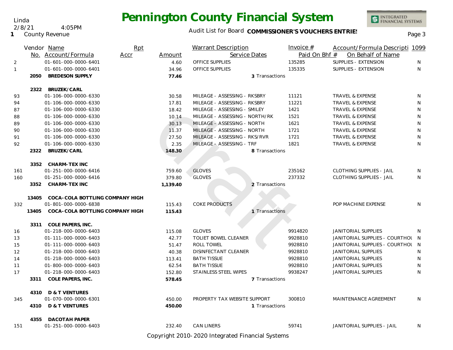INTEGRATED<br>FINANCIAL SYSTEMS

#### Audit List for Board COMMISSIONER'S VOUCHERS ENTRIES<br>Page 3

|              |       | Vendor Name                     | Rpt  |          | <b>Warrant Description</b>     |                | Invoice $#$   | Account/Formula Descripti 1099   |   |
|--------------|-------|---------------------------------|------|----------|--------------------------------|----------------|---------------|----------------------------------|---|
|              |       | No. Account/Formula             | Accr | Amount   |                                | Service Dates  | Paid On Bhf # | On Behalf of Name                |   |
| 2            |       | 01-601-000-0000-6401            |      | 4.60     | <b>OFFICE SUPPLIES</b>         |                | 135285        | SUPPLIES - EXTENSION             | N |
| $\mathbf{1}$ |       | 01-601-000-0000-6401            |      | 34.96    | OFFICE SUPPLIES                |                | 135335        | SUPPLIES - EXTENSION             | N |
|              | 2050  | <b>BREDESON SUPPLY</b>          |      | 77.46    |                                | 3 Transactions |               |                                  |   |
|              |       | 2322 BRUZEK/CARL                |      |          |                                |                |               |                                  |   |
| 93           |       | 01-106-000-0000-6330            |      | 30.58    | MILEAGE - ASSESSING - RKSBRY   |                | 11121         | TRAVEL & EXPENSE                 | N |
| 94           |       | 01-106-000-0000-6330            |      | 17.81    | MILEAGE - ASSESSING - RKSBRY   |                | 11221         | <b>TRAVEL &amp; EXPENSE</b>      | N |
| 87           |       | 01-106-000-0000-6330            |      | 18.42    | MILEAGE - ASSESSING - SMILEY   |                | 1421          | TRAVEL & EXPENSE                 | N |
| 88           |       | 01-106-000-0000-6330            |      | 10.14    | MILEAGE - ASSESSING - NORTH/RK |                | 1521          | <b>TRAVEL &amp; EXPENSE</b>      | N |
| 89           |       | 01-106-000-0000-6330            |      | 30.13    | MILEAGE - ASSESSING - NORTH    |                | 1621          | <b>TRAVEL &amp; EXPENSE</b>      | N |
| 90           |       | 01-106-000-0000-6330            |      | 11.37    | MILEAGE - ASSESSING - NORTH    |                | 1721          | <b>TRAVEL &amp; EXPENSE</b>      | N |
| 91           |       | 01-106-000-0000-6330            |      | 27.50    | MILEAGE - ASSESSING - RKS/RVR  |                | 1721          | TRAVEL & EXPENSE                 | N |
| 92           |       | 01-106-000-0000-6330            |      | 2.35     | MILEAGE - ASSESSING - TRF      |                | 1821          | <b>TRAVEL &amp; EXPENSE</b>      | N |
|              | 2322  | BRUZEK/CARL                     |      | 148.30   |                                | 8 Transactions |               |                                  |   |
|              |       | 3352 CHARM-TEX INC              |      |          |                                |                |               |                                  |   |
| 161          |       | 01-251-000-0000-6416            |      | 759.60   | <b>GLOVES</b>                  |                | 235162        | <b>CLOTHING SUPPLIES - JAIL</b>  | N |
| 160          |       | 01-251-000-0000-6416            |      | 379.80   | <b>GLOVES</b>                  |                | 237332        | <b>CLOTHING SUPPLIES - JAIL</b>  | N |
|              | 3352  | CHARM-TEX INC                   |      | 1,139.40 |                                | 2 Transactions |               |                                  |   |
|              | 13405 | COCA-COLA BOTTLING COMPANY HIGH |      |          |                                |                |               |                                  |   |
| 332          |       | 01-801-000-0000-6838            |      | 115.43   | <b>COKE PRODUCTS</b>           |                |               | POP MACHINE EXPENSE              | N |
|              | 13405 | COCA-COLA BOTTLING COMPANY HIGH |      | 115.43   |                                | 1 Transactions |               |                                  |   |
|              | 3311  | COLE PAPERS, INC.               |      |          |                                |                |               |                                  |   |
| 16           |       | 01-218-000-0000-6403            |      | 115.08   | <b>GLOVES</b>                  |                | 9914820       | <b>JANITORIAL SUPPLIES</b>       | N |
| 13           |       | 01-111-000-0000-6403            |      | 42.77    | <b>TOLIET BOWEL CLEANER</b>    |                | 9928810       | JANITORIAL SUPPLIES - COURTHOL N |   |
| 15           |       | 01-111-000-0000-6403            |      | 51.47    | <b>ROLL TOWEL</b>              |                | 9928810       | JANITORIAL SUPPLIES - COURTHOL N |   |
| 12           |       | 01-218-000-0000-6403            |      | 40.38    | DISINFECTANT CLEANER           |                | 9928810       | <b>JANITORIAL SUPPLIES</b>       | N |
| 14           |       | 01-218-000-0000-6403            |      | 113.41   | <b>BATH TISSUE</b>             |                | 9928810       | JANITORIAL SUPPLIES              | N |
| 11           |       | 01-800-000-0000-6403            |      | 62.54    | <b>BATH TISSUE</b>             |                | 9928810       | JANITORIAL SUPPLIES              | N |
| 17           |       | 01-218-000-0000-6403            |      | 152.80   | STAINLESS STEEL WIPES          |                | 9938247       | <b>JANITORIAL SUPPLIES</b>       | N |
|              | 3311  | COLE PAPERS, INC.               |      | 578.45   |                                | 7 Transactions |               |                                  |   |
|              | 4310  | <b>D &amp; T VENTURES</b>       |      |          |                                |                |               |                                  |   |
| 345          |       | 01-070-000-0000-6301            |      | 450.00   | PROPERTY TAX WEBSITE SUPPORT   |                | 300810        | MAINTENANCE AGREEMENT            | N |
|              | 4310  | <b>D &amp; T VENTURES</b>       |      | 450.00   |                                | 1 Transactions |               |                                  |   |
|              | 4355  | <b>DACOTAH PAPER</b>            |      |          |                                |                |               |                                  |   |
| 151          |       | 01-251-000-0000-6403            |      | 232.40   | <b>CAN LINERS</b>              |                | 59741         | JANITORIAL SUPPLIES - JAIL       | N |

Copyright 2010-2020 Integrated Financial Systems

Linda

**1** County Revenue 2/8/21 4:05PM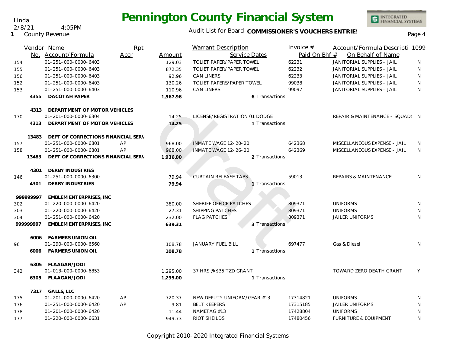#### Audit List for Board COMMISSIONER'S VOUCHERS ENTRIES<br>Page 4

INTEGRATED<br>FINANCIAL SYSTEMS

|           | Vendor Name                        | Rpt  |          | <b>Warrant Description</b>       |                | Invoice $#$   | Account/Formula Descripti 1099   |    |
|-----------|------------------------------------|------|----------|----------------------------------|----------------|---------------|----------------------------------|----|
|           | No. Account/Formula                | Accr | Amount   | Service Dates                    |                | Paid On Bhf # | On Behalf of Name                |    |
| 154       | 01-251-000-0000-6403               |      | 129.03   | TOLIET PAPER/PAPER TOWEL         |                | 62231         | JANITORIAL SUPPLIES - JAIL       | N  |
| 155       | 01-251-000-0000-6403               |      | 872.35   | TOLIET PAPER/PAPER TOWEL         |                | 62232         | JANITORIAL SUPPLIES - JAIL       | N  |
| 156       | 01-251-000-0000-6403               |      | 92.96    | <b>CAN LINERS</b>                |                | 62233         | JANITORIAL SUPPLIES - JAIL       | N  |
| 152       | 01-251-000-0000-6403               |      | 130.26   | <b>TOLIET PAPERS/PAPER TOWEL</b> |                | 99038         | JANITORIAL SUPPLIES - JAIL       | N  |
| 153       | 01-251-000-0000-6403               |      | 110.96   | <b>CAN LINERS</b>                |                | 99097         | JANITORIAL SUPPLIES - JAIL       | N  |
| 4355      | DACOTAH PAPER                      |      | 1,567.96 |                                  | 6 Transactions |               |                                  |    |
| 4313      | DEPARTMENT OF MOTOR VEHICLES       |      |          |                                  |                |               |                                  |    |
| 170       | 01-201-000-0000-6304               |      | 14.25    | LICENSE/REGISTRATION 01 DODGE    |                |               | REPAIR & MAINTENANCE - SQUAD! N  |    |
| 4313      | DEPARTMENT OF MOTOR VEHICLES       |      | 14.25    |                                  | 1 Transactions |               |                                  |    |
| 13483     | DEPT OF CORRECTIONS FINANCIAL SERV |      |          |                                  |                |               |                                  |    |
| 157       | 01-251-000-0000-6801               | AP   | 968.00   | INMATE WAGE 12-20-20             |                | 642368        | MISCELLANEOUS EXPENSE - JAIL     | N  |
| 158       | 01-251-000-0000-6801               | AP   | 968.00   | INMATE WAGE 12-26-20             |                | 642369        | MISCELLANEOUS EXPENSE - JAIL     | N. |
| 13483     | DEPT OF CORRECTIONS FINANCIAL SERV |      | 1,936.00 |                                  | 2 Transactions |               |                                  |    |
| 4301      | <b>DERBY INDUSTRIES</b>            |      |          |                                  |                |               |                                  |    |
| 146       | 01-251-000-0000-6300               |      | 79.94    | <b>CURTAIN RELEASE TABS</b>      |                | 59013         | <b>REPAIRS &amp; MAINTENANCE</b> | N  |
| 4301      | DERBY INDUSTRIES                   |      | 79.94    |                                  | 1 Transactions |               |                                  |    |
| 999999997 | EMBLEM ENTERPRISES, INC            |      |          |                                  |                |               |                                  |    |
| 302       | 01-220-000-0000-6420               |      | 380.00   | SHERIFF OFFICE PATCHES           |                | 809371        | <b>UNIFORMS</b>                  | N  |
| 303       | 01-220-000-0000-6420               |      | 27.31    | <b>SHIPPING PATCHES</b>          |                | 809371        | <b>UNIFORMS</b>                  | N  |
| 304       | 01-251-000-0000-6420               |      | 232.00   | <b>FLAG PATCHES</b>              |                | 809371        | <b>JAILER UNIFORMS</b>           | N  |
| 99999997  | <b>EMBLEM ENTERPRISES, INC</b>     |      | 639.31   |                                  | 3 Transactions |               |                                  |    |
| 6006      | <b>FARMERS UNION OIL</b>           |      |          |                                  |                |               |                                  |    |
| 96        | 01-290-000-0000-6560               |      | 108.78   | <b>JANUARY FUEL BILL</b>         |                | 697477        | Gas & Diesel                     | N  |
| 6006      | <b>FARMERS UNION OIL</b>           |      | 108.78   |                                  | 1 Transactions |               |                                  |    |
| 6305      | FLAAGAN/JODI                       |      |          |                                  |                |               |                                  |    |
| 342       | 01-013-000-0000-6853               |      | 1,295.00 | 37 HRS @ \$35 TZD GRANT          |                |               | TOWARD ZERO DEATH GRANT          | Y  |
| 6305      | FLAAGAN/JODI                       |      | 1,295.00 |                                  | 1 Transactions |               |                                  |    |
| 7317      | <b>GALLS, LLC</b>                  |      |          |                                  |                |               |                                  |    |
| 175       | 01-201-000-0000-6420               | AP   | 720.37   | NEW DEPUTY UNIFORM/GEAR #13      |                | 17314821      | <b>UNIFORMS</b>                  | N  |
| 176       | 01-251-000-0000-6420               | AP   | 9.81     | <b>BELT KEEPERS</b>              |                | 17315185      | <b>JAILER UNIFORMS</b>           | N  |
| 178       | 01-201-000-0000-6420               |      | 11.44    | NAMETAG #13                      |                | 17428804      | <b>UNIFORMS</b>                  | N  |
| 177       | 01-220-000-0000-6631               |      | 949.73   | RIOT SHEILDS                     |                | 17480456      | <b>FURNITURE &amp; EQUIPMENT</b> | N  |

Copyright 2010-2020 Integrated Financial Systems

#### Linda 2/8/21 4:05PM

**1** County Revenue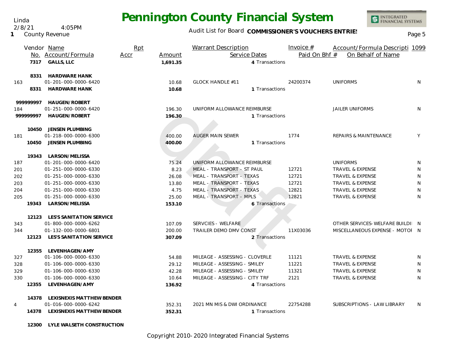Audit List for Board COMMISSIONER'S VOUCHERS ENTRIES<br>Page 5

INTEGRATED<br>FINANCIAL SYSTEMS

|                |              | Vendor Name<br>No. Account/Formula<br>7317 GALLS, LLC                | Rpt<br>Accr | Amount<br>1,691.35 | <b>Warrant Description</b><br>Service Dates          | 4 Transactions | Invoice $#$<br>Paid On Bhf # | Account/Formula Descripti 1099<br>On Behalf of Name |   |
|----------------|--------------|----------------------------------------------------------------------|-------------|--------------------|------------------------------------------------------|----------------|------------------------------|-----------------------------------------------------|---|
| 163            | 8331<br>8331 | <b>HARDWARE HANK</b><br>01-201-000-0000-6420<br><b>HARDWARE HANK</b> |             | 10.68<br>10.68     | <b>GLOCK HANDLE #11</b>                              | 1 Transactions | 24200374                     | <b>UNIFORMS</b>                                     | N |
|                | 99999997     | HAUGEN/ROBERT                                                        |             |                    |                                                      |                |                              |                                                     |   |
| 184            | 999999997    | 01-251-000-0000-6420<br>HAUGEN/ROBERT                                |             | 196.30<br>196.30   | UNIFORM ALLOWANCE REIMBURSE                          | 1 Transactions |                              | <b>JAILER UNIFORMS</b>                              | N |
| 181            |              | 10450 JENSEN PLUMBING<br>01-218-000-0000-6300                        |             | 400.00             | <b>AUGER MAIN SEWER</b>                              |                | 1774                         | REPAIRS & MAINTENANCE                               | Υ |
|                | 10450        | JENSEN PLUMBING                                                      |             | 400.00             |                                                      | 1 Transactions |                              |                                                     |   |
|                | 19343        | LARSON/MELISSA                                                       |             |                    |                                                      |                |                              |                                                     |   |
| 187            |              | 01-201-000-0000-6420                                                 |             | 75.24              | UNIFORM ALLOWANCE REIMBURSE                          |                |                              | <b>UNIFORMS</b>                                     | N |
| 201            |              | 01-251-000-0000-6330                                                 |             | 8.23               | MEAL - TRANSPORT - ST PAUL                           |                | 12721                        | <b>TRAVEL &amp; EXPENSE</b>                         | N |
| 202            |              | 01-251-000-0000-6330                                                 |             | 26.08              | MEAL - TRANSPORT - TEXAS<br>MEAL - TRANSPORT - TEXAS |                | 12721                        | TRAVEL & EXPENSE                                    | N |
| 203            |              | 01-251-000-0000-6330                                                 |             | 13.80              |                                                      |                | 12721                        | <b>TRAVEL &amp; EXPENSE</b>                         | N |
| 204            |              | 01-251-000-0000-6330                                                 |             | 4.75               | MEAL - TRANSPORT - TEXAS                             |                | 12821                        | <b>TRAVEL &amp; EXPENSE</b>                         | N |
| 205            |              | 01-251-000-0000-6330                                                 |             | 25.00              | MEAL - TRANSPORT - MPLS                              |                | 12821                        | <b>TRAVEL &amp; EXPENSE</b>                         | N |
|                | 19343        | LARSON/MELISSA                                                       |             | 153.10             |                                                      | 6 Transactions |                              |                                                     |   |
|                |              | 12123 LES'S SANITATION SERVICE                                       |             |                    |                                                      |                |                              |                                                     |   |
| 343            |              | 01-800-000-0000-6262                                                 |             | 107.09             | SERVCIES - WELFARE                                   |                |                              | OTHER SERVICES-WELFARE BUILDI N                     |   |
| 344            |              | 01-132-000-0000-6801                                                 |             | 200.00             | TRAILER DEMO DMV CONST                               |                | 11X03036                     | MISCELLANEOUS EXPENSE - MOTOI N                     |   |
|                | 12123        | <b>LES'S SANITATION SERVICE</b>                                      |             | 307.09             |                                                      | 2 Transactions |                              |                                                     |   |
|                | 12355        | LEVENHAGEN/AMY                                                       |             |                    |                                                      |                |                              |                                                     |   |
| 327            |              | 01-106-000-0000-6330                                                 |             | 54.88              | MILEAGE - ASSESSING - CLOVERLE                       |                | 11121                        | <b>TRAVEL &amp; EXPENSE</b>                         | N |
| 328            |              | 01-106-000-0000-6330                                                 |             | 29.12              | MILEAGE - ASSESSING - SMILEY                         |                | 11221                        | TRAVEL & EXPENSE                                    | N |
| 329            |              | 01-106-000-0000-6330                                                 |             | 42.28              | MILEAGE - ASSESSING - SMILEY                         |                | 11321                        | <b>TRAVEL &amp; EXPENSE</b>                         | N |
| 330            |              | 01-106-000-0000-6330                                                 |             | 10.64              | MILEAGE - ASSESSING - CITY TRF                       |                | 2121                         | <b>TRAVEL &amp; EXPENSE</b>                         | N |
|                | 12355        | LEVENHAGEN/AMY                                                       |             | 136.92             |                                                      | 4 Transactions |                              |                                                     |   |
|                |              | 14378 LEXISNEXIS MATTHEW BENDER                                      |             |                    |                                                      |                |                              |                                                     |   |
| $\overline{4}$ |              | 01-016-000-0000-6242                                                 |             | 352.31             | 2021 MN MIS & DWI ORDINANCE                          |                | 22754288                     | SUBSCRIPTIONS - LAW LIBRARY                         | N |
|                |              | 14378 LEXISNEXIS MATTHEW BENDER                                      |             | 352.31             |                                                      | 1 Transactions |                              |                                                     |   |
|                | 12300        | LYLE WALSETH CONSTRUCTION                                            |             |                    |                                                      |                |                              |                                                     |   |

Copyright 2010-2020 Integrated Financial Systems

#### Linda

**1** County Revenue 2/8/21 4:05PM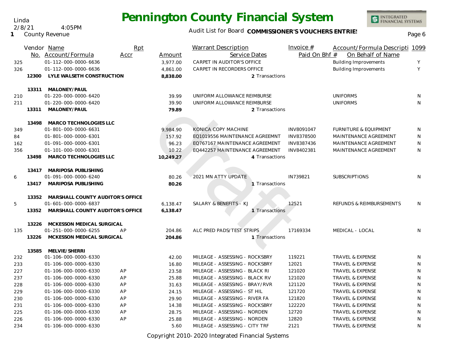Audit List for Board COMMISSIONER'S VOUCHERS ENTRIES<br>Page 6

INTEGRATED<br>FINANCIAL SYSTEMS

|     |       | Vendor Name                            | Rpt  |           | <b>Warrant Description</b>     | Invoice $#$   | Account/Formula Descripti 1099   |              |
|-----|-------|----------------------------------------|------|-----------|--------------------------------|---------------|----------------------------------|--------------|
|     |       | No. Account/Formula                    | Accr | Amount    | Service Dates                  | Paid On Bhf # | On Behalf of Name                |              |
| 325 |       | 01-112-000-0000-6636                   |      | 3,977.00  | CARPET IN AUDITOR'S OFFICE     |               | <b>Building Improvements</b>     | Y            |
| 326 |       | 01-112-000-0000-6636                   |      | 4,861.00  | CARPET IN RECORDERS OFFICE     |               | <b>Building Improvements</b>     | Y            |
|     | 12300 | LYLE WALSETH CONSTRUCTION              |      | 8,838.00  | 2 Transactions                 |               |                                  |              |
|     | 13311 | MALONEY/PAUL                           |      |           |                                |               |                                  |              |
| 210 |       | 01-220-000-0000-6420                   |      | 39.99     | UNIFORM ALLOWANCE REIMBURSE    |               | <b>UNIFORMS</b>                  | N            |
| 211 |       | 01-220-000-0000-6420                   |      | 39.90     | UNIFORM ALLOWANCE REIMBURSE    |               | <b>UNIFORMS</b>                  | N            |
|     | 13311 | MALONEY/PAUL                           |      | 79.89     | 2 Transactions                 |               |                                  |              |
|     | 13498 | MARCO TECHNOLOGIES LLC                 |      |           |                                |               |                                  |              |
| 349 |       | 01-801-000-0000-6631                   |      | 9,984.90  | KONICA COPY MACHINE            | INV8091047    | <b>FURNITURE &amp; EQUIPMENT</b> | N            |
| 84  |       | 01-801-000-0000-6301                   |      | 157.92    | EQ1019556 MAINTENANCE AGREEMNT | INV8378500    | MAINTENANCE AGREEMENT            | N            |
| 162 |       | 01-091-000-0000-6301                   |      | 96.23     | EQ767167 MAINTENANCE AGREEMENT | INV8387436    | MAINTENANCE AGREEMENT            | N            |
| 356 |       | 01-101-000-0000-6301                   |      | 10.22     | EQ442257 MAINTENANCE AGREEMENT | INV8402381    | MAINTENANCE AGREEMENT            | N            |
|     | 13498 | <b>MARCO TECHNOLOGIES LLC</b>          |      | 10,249.27 | 4 Transactions                 |               |                                  |              |
|     |       | 13417 MARIPOSA PUBLISHING              |      |           |                                |               |                                  |              |
| 6   |       | 01-091-000-0000-6240                   |      | 80.26     | 2021 MN ATTY UPDATE            | IN739821      | <b>SUBSCRIPTIONS</b>             | N            |
|     | 13417 | MARIPOSA PUBLISHING                    |      | 80.26     | Transactions                   |               |                                  |              |
|     |       | 13352 MARSHALL COUNTY AUDITOR'S OFFICE |      |           |                                |               |                                  |              |
| 5   |       | 01-601-000-0000-6837                   |      | 6,138.47  | SALARY & BENEFITS - KJ         | 12521         | REFUNDS & REIMBURSEMENTS         | N            |
|     | 13352 | MARSHALL COUNTY AUDITOR'S OFFICE       |      | 6,138.47  | 1 Transactions                 |               |                                  |              |
|     | 13226 | MCKESSON MEDICAL SURGICAL              |      |           |                                |               |                                  |              |
| 135 |       | 01-251-000-0000-6255                   | AP   | 204.86    | ALC PRED PADS/TEST STRIPS      | 17169334      | MEDICAL - LOCAL                  | N            |
|     | 13226 | MCKESSON MEDICAL SURGICAL              |      | 204.86    | 1 Transactions                 |               |                                  |              |
|     | 13585 | MELVIE/SHERRI                          |      |           |                                |               |                                  |              |
| 232 |       | 01-106-000-0000-6330                   |      | 42.00     | MILEAGE - ASSESSING - ROCKSBRY | 119221        | TRAVEL & EXPENSE                 | N            |
| 233 |       | 01-106-000-0000-6330                   |      | 16.80     | MILEAGE - ASSESSING - ROCKSBRY | 12021         | <b>TRAVEL &amp; EXPENSE</b>      | N            |
| 227 |       | 01-106-000-0000-6330                   | AP   | 23.58     | MILEAGE - ASSESSING - BLACK RI | 121020        | <b>TRAVEL &amp; EXPENSE</b>      | N            |
| 237 |       | 01-106-000-0000-6330                   | AP   | 25.88     | MILEAGE - ASSESSING - BLACK RV | 121020        | TRAVEL & EXPENSE                 | N            |
| 228 |       | 01-106-000-0000-6330                   | AP   | 31.63     | MILEAGE - ASSESSING - BRAY/RVR | 121120        | <b>TRAVEL &amp; EXPENSE</b>      | N            |
| 229 |       | 01-106-000-0000-6330                   | AP   | 24.15     | MILEAGE - ASSESSING - ST HIL   | 121720        | <b>TRAVEL &amp; EXPENSE</b>      | $\mathsf{N}$ |
| 230 |       | 01-106-000-0000-6330                   | AP   | 29.90     | MILEAGE - ASSESSING - RIVER FA | 121820        | <b>TRAVEL &amp; EXPENSE</b>      | N            |
| 231 |       | 01-106-000-0000-6330                   | AP   | 14.38     | MILEAGE - ASSESSING - ROCKSBRY | 122220        | TRAVEL & EXPENSE                 | N            |
| 225 |       | 01-106-000-0000-6330                   | AP   | 28.75     | MILEAGE - ASSESSING - NORDEN   | 12720         | TRAVEL & EXPENSE                 | N            |
| 226 |       | 01-106-000-0000-6330                   | AP   | 25.88     | MILEAGE - ASSESSING - NORDEN   | 12820         | TRAVEL & EXPENSE                 | N            |
| 234 |       | 01-106-000-0000-6330                   |      | 5.60      | MILEAGE - ASSESSING - CITY TRF | 2121          | TRAVEL & EXPENSE                 | N            |

Copyright 2010-2020 Integrated Financial Systems

Linda 2/8/21 4:05PM

**1** County Revenue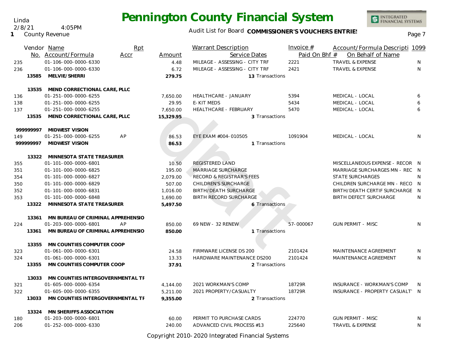INTEGRATED<br>FINANCIAL SYSTEMS

#### Audit List for Board COMMISSIONER'S VOUCHERS ENTRIES<br>Page 7

|            |           | Vendor Name<br>No. Account/Formula                    | <b>Rpt</b><br>Accr | Amount            | <b>Warrant Description</b><br>Service Dates | Invoice $#$<br>Paid On Bhf # | Account/Formula Descripti 1099<br>On Behalf of Name |              |
|------------|-----------|-------------------------------------------------------|--------------------|-------------------|---------------------------------------------|------------------------------|-----------------------------------------------------|--------------|
| 235        |           | 01-106-000-0000-6330                                  |                    | 4.48              | MILEAGE - ASSESSING - CITY TRF              | 2221                         | <b>TRAVEL &amp; EXPENSE</b>                         | N            |
| 236        |           | 01-106-000-0000-6330                                  |                    | 6.72              | MILEAGE - ASSESSING - CITY TRF              | 2421                         | TRAVEL & EXPENSE                                    | N            |
|            | 13585     | MELVIE/SHERRI                                         |                    | 279.75            | 13 Transactions                             |                              |                                                     |              |
|            |           |                                                       |                    |                   |                                             |                              |                                                     |              |
|            | 13535     | MEND CORRECTIONAL CARE, PLLC<br>01-251-000-0000-6255  |                    |                   | HEALTHCARE - JANUARY                        | 5394                         | MEDICAL - LOCAL                                     | 6            |
| 136<br>138 |           | 01-251-000-0000-6255                                  |                    | 7,650.00<br>29.95 | <b>E-KIT MEDS</b>                           | 5434                         | MEDICAL - LOCAL                                     | 6            |
| 137        |           | 01-251-000-0000-6255                                  |                    | 7,650.00          | <b>HEALTHCARE - FEBRUARY</b>                | 5470                         | MEDICAL - LOCAL                                     | 6            |
|            | 13535     | MEND CORRECTIONAL CARE, PLLC                          |                    | 15,329.95         | 3 Transactions                              |                              |                                                     |              |
|            |           |                                                       |                    |                   |                                             |                              |                                                     |              |
|            | 999999997 | <b>MIDWEST VISION</b>                                 |                    |                   |                                             |                              |                                                     |              |
| 149        |           | AP<br>01-251-000-0000-6255                            |                    | 86.53             | EYE EXAM #004-010505                        | 1091904                      | MEDICAL - LOCAL                                     | N            |
|            | 999999997 | <b>MIDWEST VISION</b>                                 |                    | 86.53             | 1 Transactions                              |                              |                                                     |              |
|            |           |                                                       |                    |                   |                                             |                              |                                                     |              |
|            |           | 13322 MINNESOTA STATE TREASURER                       |                    |                   |                                             |                              |                                                     |              |
| 355        |           | 01-101-000-0000-6801                                  |                    | 10.50             | REGISTERED LAND                             |                              | MISCELLANEOUS EXPENSE - RECOR N                     |              |
| 351        |           | 01-101-000-0000-6825                                  |                    | 195.00            | MARRIAGE SURCHARGE                          |                              | MARRIAGE SURCHARGES MN - REC N                      |              |
| 354        |           | 01-101-000-0000-6827                                  |                    | 2.079.00          | <b>RECORD &amp; REGISTRAR'S FEES</b>        |                              | <b>STATE SURCHARGES</b>                             | N            |
| 350        |           | 01-101-000-0000-6829                                  |                    | 507.00            | <b>CHILDREN'S SURCHARGE</b>                 |                              | CHILDREN SURCHARGE MN - RECO N                      |              |
| 352        |           | 01-101-000-0000-6831                                  |                    | 1,016.00          | <b>BIRTH/DEATH SURCHARGE</b>                |                              | BIRTH/DEATH CERTIF SURCHARGE N                      |              |
| 353        |           | 01-101-000-0000-6848                                  |                    | 1,690.00          | <b>BIRTH RECORD SURCHARGE</b>               |                              | <b>BIRTH DEFECT SURCHARGE</b>                       | N            |
|            | 13322     | MINNESOTA STATE TREASURER                             |                    | 5,497.50          | 6 Transactions                              |                              |                                                     |              |
|            |           |                                                       |                    |                   |                                             |                              |                                                     |              |
|            | 13361     | MN BUREAU OF CRIMINAL APPREHENSIO                     |                    |                   |                                             |                              |                                                     |              |
| 224        |           | 01-203-000-0000-6801<br>AP                            |                    | 850.00            | 69 NEW - 32 RENEW                           | 57-000067                    | <b>GUN PERMIT - MISC</b>                            | N            |
|            | 13361     | MN BUREAU OF CRIMINAL APPREHENSIO                     |                    | 850.00            | 1 Transactions                              |                              |                                                     |              |
|            | 13355     | MN COUNTIES COMPUTER COOP                             |                    |                   |                                             |                              |                                                     |              |
| 323        |           | 01-061-000-0000-6301                                  |                    | 24.58             | <b>FIRMWARE LICENSE DS 200</b>              | 2101424                      | <b>MAINTENANCE AGREEMENT</b>                        | <sup>N</sup> |
| 324        |           | 01-061-000-0000-6301                                  |                    | 13.33             | HARDWARE MAINTENANCE DS200                  | 2101424                      | MAINTENANCE AGREEMENT                               | N            |
|            | 13355     | MN COUNTIES COMPUTER COOP                             |                    | 37.91             | 2 Transactions                              |                              |                                                     |              |
|            |           |                                                       |                    |                   |                                             |                              |                                                     |              |
|            | 13033     | MN COUNTIES INTERGOVERNMENTAL TF                      |                    |                   |                                             |                              |                                                     |              |
| 321        |           | 01-605-000-0000-6354                                  |                    | 4,144.00          | 2021 WORKMAN'S COMP                         | 18729R                       | INSURANCE - WORKMAN'S COMP                          | N            |
| 322        |           | 01-605-000-0000-6355                                  |                    | 5,211.00          | 2021 PROPERTY/CASUALTY                      | 18729R                       | INSURANCE - PROPERTY CASUALT' N                     |              |
|            | 13033     | MN COUNTIES INTERGOVERNMENTAL TF                      |                    | 9,355.00          | 2 Transactions                              |                              |                                                     |              |
|            |           |                                                       |                    |                   |                                             |                              |                                                     |              |
|            |           | 13324 MN SHERIFFS ASSOCIATION<br>01-203-000-0000-6801 |                    | 60.00             | PERMIT TO PURCHASE CARDS                    | 224770                       | <b>GUN PERMIT - MISC</b>                            | N            |
| 180        |           | 01-252-000-0000-6330                                  |                    |                   | ADVANCED CIVIL PROCESS #13                  | 225640                       | <b>TRAVEL &amp; EXPENSE</b>                         | N            |
| 206        |           |                                                       |                    | 240.00            |                                             |                              |                                                     |              |

Copyright 2010-2020 Integrated Financial Systems

Linda 2/8/21 4:05PM

**1** County Revenue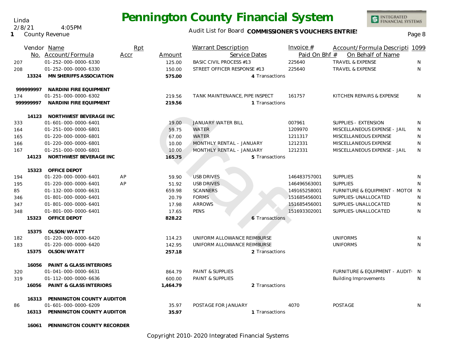Linda 2/8/21 4:05PM

**16061 PENNINGTON COUNTY RECORDER**

**1** County Revenue

### Audit List for Board COMMISSIONER'S VOUCHERS ENTRIES<br>Page 8

|     |           | Vendor Name<br>No. Account/Formula | Rpt<br>Accr | Amount   | <b>Warrant Description</b><br>Service Dates |                | Invoice $#$<br>Paid On Bhf # | Account/Formula Descripti 1099<br>On Behalf of Name |              |
|-----|-----------|------------------------------------|-------------|----------|---------------------------------------------|----------------|------------------------------|-----------------------------------------------------|--------------|
| 207 |           | 01-252-000-0000-6330               |             | 125.00   | <b>BASIC CIVIL PROCESS #13</b>              |                | 225640                       | <b>TRAVEL &amp; EXPENSE</b>                         | N            |
| 208 |           | 01-252-000-0000-6330               |             | 150.00   | STREET OFFICER RESPONSE #13                 |                | 225640                       | <b>TRAVEL &amp; EXPENSE</b>                         | N            |
|     | 13324     | MN SHERIFFS ASSOCIATION            |             | 575.00   |                                             | 4 Transactions |                              |                                                     |              |
|     | 99999997  | NARDINI FIRE EQUIPMENT             |             |          |                                             |                |                              |                                                     |              |
| 174 |           | 01-251-000-0000-6302               |             | 219.56   | TANK MAINTENANCE, PIPE INSPECT              |                | 161757                       | KITCHEN REPAIRS & EXPENSE                           | N.           |
|     | 999999997 | NARDINI FIRE EQUIPMENT             |             | 219.56   |                                             | 1 Transactions |                              |                                                     |              |
|     | 14123     | NORTHWEST BEVERAGE INC             |             |          |                                             |                |                              |                                                     |              |
| 333 |           | 01-601-000-0000-6401               |             | 19.00    | <b>JANUARY WATER BILL</b>                   |                | 007961                       | SUPPLIES - EXTENSION                                | N            |
| 164 |           | 01-251-000-0000-6801               |             | 59.75    | WATER                                       |                | 1209970                      | MISCELLANEOUS EXPENSE - JAIL                        | N            |
| 165 |           | 01-220-000-0000-6801               |             | 67.00    | <b>WATER</b>                                |                | 1211317                      | MISCELLANEOUS EXPENSE                               | N            |
| 166 |           | 01-220-000-0000-6801               |             | 10.00    | MONTHLY RENTAL - JANUARY                    |                | 1212331                      | MISCELLANEOUS EXPENSE                               | $\mathsf{N}$ |
| 167 |           | 01-251-000-0000-6801               |             | 10.00    | MONTHLY RENTAL - JANUARY                    |                | 1212331                      | MISCELLANEOUS EXPENSE - JAIL                        | N            |
|     | 14123     | NORTHWEST BEVERAGE INC             |             | 165.75   |                                             | 5 Transactions |                              |                                                     |              |
|     | 15323     | <b>OFFICE DEPOT</b>                |             |          |                                             |                |                              |                                                     |              |
| 194 |           | 01-220-000-0000-6401               | AP          | 59.90    | <b>USB DRIVES</b>                           |                | 146483757001                 | <b>SUPPLIES</b>                                     | N            |
| 195 |           | 01-220-000-0000-6401               | AP          | 51.92    | <b>USB DRIVES</b>                           |                | 146496563001                 | <b>SUPPLIES</b>                                     | ${\sf N}$    |
| 85  |           | 01-132-000-0000-6631               |             | 659.98   | <b>SCANNERS</b>                             |                | 149165258001                 | FURNITURE & EQUIPMENT - MOTOI                       | N            |
| 346 |           | 01-801-000-0000-6401               |             | 20.79    | <b>FORMS</b>                                |                | 151685456001                 | SUPPLIES-UNALLOCATED                                | N            |
| 347 |           | 01-801-000-0000-6401               |             | 17.98    | <b>ARROWS</b>                               |                | 151685456001                 | SUPPLIES-UNALLOCATED                                | N            |
| 348 |           | 01-801-000-0000-6401               |             | 17.65    | <b>PENS</b>                                 |                | 151693302001                 | SUPPLIES-UNALLOCATED                                | N            |
|     | 15323     | OFFICE DEPOT                       |             | 828.22   |                                             | 6 Transactions |                              |                                                     |              |
|     | 15375     | OLSON/WYATT                        |             |          |                                             |                |                              |                                                     |              |
| 182 |           | 01-220-000-0000-6420               |             | 114.23   | UNIFORM ALLOWANCE REIMBURSE                 |                |                              | <b>UNIFORMS</b>                                     | N            |
| 183 |           | 01-220-000-0000-6420               |             | 142.95   | UNIFORM ALLOWANCE REIMBURSE                 |                |                              | <b>UNIFORMS</b>                                     | N            |
|     | 15375     | OLSON/WYATT                        |             | 257.18   |                                             | 2 Transactions |                              |                                                     |              |
|     | 16056     | <b>PAINT &amp; GLASS INTERIORS</b> |             |          |                                             |                |                              |                                                     |              |
| 320 |           | 01-041-000-0000-6631               |             | 864.79   | <b>PAINT &amp; SUPPLIES</b>                 |                |                              | FURNITURE & EQUIPMENT - AUDIT: N                    |              |
| 319 |           | 01-112-000-0000-6636               |             | 600.00   | <b>PAINT &amp; SUPPLIES</b>                 |                |                              | <b>Building Improvements</b>                        | N            |
|     | 16056     | <b>PAINT &amp; GLASS INTERIORS</b> |             | 1,464.79 |                                             | 2 Transactions |                              |                                                     |              |
|     | 16313     | PENNINGTON COUNTY AUDITOR          |             |          |                                             |                |                              |                                                     |              |
| 86  |           | 01-601-000-0000-6209               |             | 35.97    | POSTAGE FOR JANUARY                         |                | 4070                         | <b>POSTAGE</b>                                      | N            |
|     | 16313     | PENNINGTON COUNTY AUDITOR          |             | 35.97    |                                             | 1 Transactions |                              |                                                     |              |
|     |           |                                    |             |          |                                             |                |                              |                                                     |              |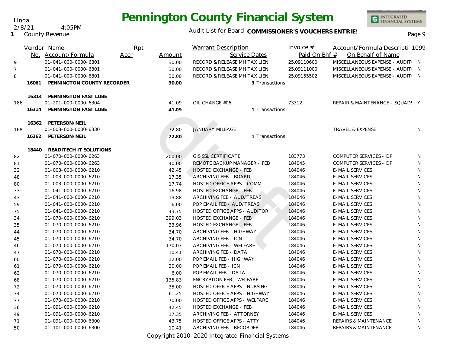Linda 2/8/21 4:05PM

**1** County Revenue

#### Audit List for Board COMMISSIONER'S VOUCHERS ENTRIES<br>Page 9

|                |       | Vendor Name                                  | Rpt  |        | <b>Warrant Description</b>       | Invoice #     | Account/Formula Descripti 1099   |   |
|----------------|-------|----------------------------------------------|------|--------|----------------------------------|---------------|----------------------------------|---|
|                |       | No. Account/Formula                          | Accr | Amount | Service Dates                    | Paid On Bhf # | On Behalf of Name                |   |
| 9              |       | 01-041-000-0000-6801                         |      | 30.00  | RECORD & RELEASE MH TAX LIEN     | 25.09110600   | MISCELLANEOUS EXPENSE - AUDIT( N |   |
| $\overline{7}$ |       | 01-041-000-0000-6801                         |      | 30.00  | RECORD & RELEASE MH TAX LIEN     | 25.09111000   | MISCELLANEOUS EXPENSE - AUDIT( N |   |
| 8              |       | 01-041-000-0000-6801                         |      | 30.00  | RECORD & RELEASE MH TAX LIEN     | 25.09155502   | MISCELLANEOUS EXPENSE - AUDIT: N |   |
|                | 16061 | PENNINGTON COUNTY RECORDER                   |      | 90.00  | 3 Transactions                   |               |                                  |   |
|                | 16314 |                                              |      |        |                                  |               |                                  |   |
| 186            |       | PENNINGTON FAST LUBE<br>01-201-000-0000-6304 |      | 41.09  | OIL CHANGE #06                   | 73312         | REPAIR & MAINTENANCE - SQUAD! Y  |   |
|                | 16314 | PENNINGTON FAST LUBE                         |      | 41.09  | 1 Transactions                   |               |                                  |   |
|                |       |                                              |      |        |                                  |               |                                  |   |
|                | 16362 | PETERSON/NEIL                                |      |        |                                  |               |                                  |   |
| 168            |       | 01-003-000-0000-6330                         |      | 72.80  | <b>JANUARY MILEAGE</b>           |               | <b>TRAVEL &amp; EXPENSE</b>      | N |
|                | 16362 | PETERSON/NEIL                                |      | 72.80  | 1 Transactions                   |               |                                  |   |
|                | 18440 | READITECH IT SOLUTIONS                       |      |        |                                  |               |                                  |   |
| 82             |       | 01-070-000-0000-6263                         |      | 200.00 | <b>GIS SSL CERTIFICATE</b>       | 183773        | COMPUTER SERVICES - DP           | N |
| 81             |       | 01-070-000-0000-6263                         |      | 40.00  | REMOTE BACKUP MANAGER - FEB      | 184045        | <b>COMPUTER SERVICES - DP</b>    | N |
| 32             |       | 01-003-000-0000-6210                         |      | 42.45  | <b>HOSTED EXCHANGE - FEB</b>     | 184046        | <b>E-MAIL SERVICES</b>           | N |
| 48             |       | 01-003-000-0000-6210                         |      | 17.35  | ARCHIVING FEB - BOARD            | 184046        | <b>E-MAIL SERVICES</b>           | N |
| 80             |       | 01-003-000-0000-6210                         |      | 17.74  | <b>HOSTED OFFICE APPS - COMM</b> | 184046        | <b>E-MAIL SERVICES</b>           | N |
| 33             |       | 01-041-000-0000-6210                         |      | 16.98  | <b>HOSTED EXCHANGE - FEB</b>     | 184046        | <b>E-MAIL SERVICES</b>           | N |
| 43             |       | 01-041-000-0000-6210                         |      | 13.88  | ARCHIVING FEB - AUD/TREAS        | 184046        | <b>E-MAIL SERVICES</b>           | N |
| 59             |       | 01-041-000-0000-6210                         |      | 6.00   | POP EMAIL FEB - AUD/TREAS        | 184046        | <b>E-MAIL SERVICES</b>           | N |
| 75             |       | 01-041-000-0000-6210                         |      | 43.75  | HOSTED OFFICE APPS - AUDITOR     | 184046        | <b>E-MAIL SERVICES</b>           | N |
| 34             |       | 01-070-000-0000-6210                         |      | 399.03 | <b>HOSTED EXCHANGE - FEB</b>     | 184046        | <b>E-MAIL SERVICES</b>           | N |
| 35             |       | 01-070-000-0000-6210                         |      | 33.96  | <b>HOSTED EXCHANGE - FEB</b>     | 184046        | <b>E-MAIL SERVICES</b>           | N |
| 44             |       | 01-070-000-0000-6210                         |      | 34.70  | ARCHIVING FEB - HIGHWAY          | 184046        | <b>E-MAIL SERVICES</b>           | N |
| 45             |       | 01-070-000-0000-6210                         |      | 34.70  | ARCHIVING FEB - ICN              | 184046        | <b>E-MAIL SERVICES</b>           | N |
| 46             |       | 01-070-000-0000-6210                         |      | 170.03 | ARCHIVING FEB - WELFARE          | 184046        | <b>E-MAIL SERVICES</b>           | N |
| 47             |       | 01-070-000-0000-6210                         |      | 10.41  | ARCHIVING FEB - DATA             | 184046        | <b>E-MAIL SERVICES</b>           | N |
| 60             |       | 01-070-000-0000-6210                         |      | 12.00  | POP EMAIL FEB - HIGHWAY          | 184046        | <b>E-MAIL SERVICES</b>           | N |
| 61             |       | 01-070-000-0000-6210                         |      | 20.00  | POP EMAIL FEB - ICN              | 184046        | <b>E-MAIL SERVICES</b>           | N |
| 62             |       | 01-070-000-0000-6210                         |      | 6.00   | POP EMAIL FEB - DATA             | 184046        | <b>E-MAIL SERVICES</b>           | N |
| 68             |       | 01-070-000-0000-6210                         |      | 135.83 | <b>ENCRYPTION FEB - WELFARE</b>  | 184046        | <b>E-MAIL SERVICES</b>           | N |
| 72             |       | 01-070-000-0000-6210                         |      | 35.00  | HOSTED OFFICE APPS - NURSING     | 184046        | <b>E-MAIL SERVICES</b>           | N |
| 74             |       | 01-070-000-0000-6210                         |      | 61.25  | HOSTED OFFICE APPS - HIGHWAY     | 184046        | <b>E-MAIL SERVICES</b>           | N |
| 77             |       | 01-070-000-0000-6210                         |      | 70.00  | HOSTED OFFICE APPS - WELFARE     | 184046        | <b>E-MAIL SERVICES</b>           | N |
| 36             |       | 01-091-000-0000-6210                         |      | 42.45  | <b>HOSTED EXCHANGE - FEB</b>     | 184046        | <b>E-MAIL SERVICES</b>           | N |
| 49             |       | 01-091-000-0000-6210                         |      | 17.35  | ARCHIVING FEB - ATTORNEY         | 184046        | <b>E-MAIL SERVICES</b>           | N |
| 71             |       | 01-091-000-0000-6300                         |      | 43.75  | <b>HOSTED OFFICE APPS - ATTY</b> | 184046        | REPAIRS & MAINTENANCE            | N |
| 50             |       | 01-101-000-0000-6300                         |      | 10.41  | ARCHIVING FEB - RECORDER         | 184046        | REPAIRS & MAINTENANCE            | N |

Copyright 2010-2020 Integrated Financial Systems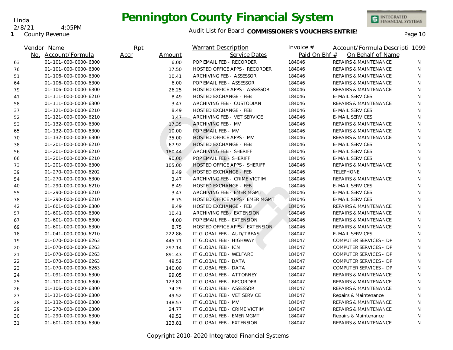**1** County Revenue

2/8/21 4:05PM

Linda

|    | Vendor Name          | Rpt  |        | <b>Warrant Description</b>     | Invoice $#$   | Account/Formula Descripti 1099   |    |
|----|----------------------|------|--------|--------------------------------|---------------|----------------------------------|----|
|    | No. Account/Formula  | Accr | Amount | Service Dates                  | Paid On Bhf # | On Behalf of Name                |    |
| 63 | 01-101-000-0000-6300 |      | 6.00   | POP EMAIL FEB - RECORDER       | 184046        | <b>REPAIRS &amp; MAINTENANCE</b> | N. |
| 76 | 01-101-000-0000-6300 |      | 17.50  | HOSTED OFFICE APPS - RECORDER  | 184046        | REPAIRS & MAINTENANCE            | N  |
| 51 | 01-106-000-0000-6300 |      | 10.41  | ARCHIVING FEB - ASSESSOR       | 184046        | <b>REPAIRS &amp; MAINTENANCE</b> | N  |
| 64 | 01-106-000-0000-6300 |      | 6.00   | POP EMAIL FEB - ASSESSOR       | 184046        | REPAIRS & MAINTENANCE            | N  |
| 79 | 01-106-000-0000-6300 |      | 26.25  | HOSTED OFFICE APPS - ASSESSOR  | 184046        | <b>REPAIRS &amp; MAINTENANCE</b> | N  |
| 41 | 01-111-000-0000-6210 |      | 8.49   | <b>HOSTED EXCHANGE - FEB</b>   | 184046        | <b>E-MAIL SERVICES</b>           | N  |
| 58 | 01-111-000-0000-6300 |      | 3.47   | ARCHIVING FEB - CUSTODIAN      | 184046        | <b>REPAIRS &amp; MAINTENANCE</b> | N  |
| 37 | 01-121-000-0000-6210 |      | 8.49   | <b>HOSTED EXCHANGE - FEB</b>   | 184046        | <b>E-MAIL SERVICES</b>           | N  |
| 52 | 01-121-000-0000-6210 |      | 3.47   | ARCHIVING FEB - VET SERVICE    | 184046        | <b>E-MAIL SERVICES</b>           | N  |
| 53 | 01-132-000-0000-6300 |      | 17.35  | ARCHIVING FEB - MV             | 184046        | <b>REPAIRS &amp; MAINTENANCE</b> | N  |
| 65 | 01-132-000-0000-6300 |      | 10.00  | POP EMAIL FEB - MV             | 184046        | <b>REPAIRS &amp; MAINTENANCE</b> | N  |
| 70 | 01-132-000-0000-6300 |      | 35.00  | HOSTED OFFICE APPS - MV        | 184046        | REPAIRS & MAINTENANCE            | N  |
| 38 | 01-201-000-0000-6210 |      | 67.92  | <b>HOSTED EXCHANGE - FEB</b>   | 184046        | <b>E-MAIL SERVICES</b>           | N  |
| 56 | 01-201-000-0000-6210 |      | 180.44 | ARCHIVING FEB - SHERIFF        | 184046        | <b>E-MAIL SERVICES</b>           | N  |
| 66 | 01-201-000-0000-6210 |      | 90.00  | POP EMAIL FEB - SHERIFF        | 184046        | <b>E-MAIL SERVICES</b>           | N  |
| 73 | 01-201-000-0000-6300 |      | 105.00 | HOSTED OFFICE APPS - SHERIFF   | 184046        | <b>REPAIRS &amp; MAINTENANCE</b> | N  |
| 39 | 01-270-000-0000-6202 |      | 8.49   | <b>HOSTED EXCHANGE - FEB</b>   | 184046        | <b>TELEPHONE</b>                 | N  |
| 54 | 01-270-000-0000-6300 |      | 3.47   | ARCHIVING FEB - CRIME VICTIM   | 184046        | <b>REPAIRS &amp; MAINTENANCE</b> | N  |
| 40 | 01-290-000-0000-6210 |      | 8.49   | <b>HOSTED EXCHANGE - FEB</b>   | 184046        | <b>E-MAIL SERVICES</b>           | N  |
| 55 | 01-290-000-0000-6210 |      | 3.47   | ARCHIVING FEB - EMER MGMT      | 184046        | <b>E-MAIL SERVICES</b>           | N  |
| 78 | 01-290-000-0000-6210 |      | 8.75   | HOSTED OFFICE APPS - EMER MGMT | 184046        | <b>E-MAIL SERVICES</b>           | N  |
| 42 | 01-601-000-0000-6300 |      | 8.49   | <b>HOSTED EXCHANGE - FEB</b>   | 184046        | REPAIRS & MAINTENANCE            | N  |
| 57 | 01-601-000-0000-6300 |      | 10.41  | ARCHIVING FEB - EXTENSION      | 184046        | <b>REPAIRS &amp; MAINTENANCE</b> | N  |
| 67 | 01-601-000-0000-6300 |      | 4.00   | POP EMAIL FEB - EXTENSION      | 184046        | <b>REPAIRS &amp; MAINTENANCE</b> | N  |
| 69 | 01-601-000-0000-6300 |      | 8.75   | HOSTED OFFICE APPS - EXTENSION | 184046        | REPAIRS & MAINTENANCE            | N  |
| 18 | 01-041-000-0000-6210 |      | 222.86 | IT GLOBAL FEB - AUD/TREAS      | 184047        | <b>E-MAIL SERVICES</b>           | N  |
| 19 | 01-070-000-0000-6263 |      | 445.71 | IT GLOBAL FEB - HIGHWAY        | 184047        | COMPUTER SERVICES - DP           | N  |
| 20 | 01-070-000-0000-6263 |      | 297.14 | IT GLOBAL FEB - ICN            | 184047        | COMPUTER SERVICES - DP           | N  |
| 21 | 01-070-000-0000-6263 |      | 891.43 | IT GLOBAL FEB - WELFARE        | 184047        | COMPUTER SERVICES - DP           | N  |
| 22 | 01-070-000-0000-6263 |      | 49.52  | IT GLOBAL FEB - DATA           | 184047        | COMPUTER SERVICES - DP           | N  |
| 23 | 01-070-000-0000-6263 |      | 140.00 | IT GLOBAL FEB - DATA           | 184047        | COMPUTER SERVICES - DP           | N  |
| 24 | 01-091-000-0000-6300 |      | 99.05  | IT GLOBAL FEB - ATTORNEY       | 184047        | <b>REPAIRS &amp; MAINTENANCE</b> | N  |
| 25 | 01-101-000-0000-6300 |      | 123.81 | IT GLOBAL FEB - RECORDER       | 184047        | <b>REPAIRS &amp; MAINTENANCE</b> | N  |
| 26 | 01-106-000-0000-6300 |      | 74.29  | IT GLOBAL FEB - ASSESSOR       | 184047        | REPAIRS & MAINTENANCE            | N  |
| 27 | 01-121-000-0000-6300 |      | 49.52  | IT GLOBAL FEB - VET SERVICE    | 184047        | Repairs & Maintenance            | N  |
| 28 | 01-132-000-0000-6300 |      | 148.57 | IT GLOBAL FEB - MV             | 184047        | REPAIRS & MAINTENANCE            | N  |
| 29 | 01-270-000-0000-6300 |      | 24.77  | IT GLOBAL FEB - CRIME VICTIM   | 184047        | REPAIRS & MAINTENANCE            | N  |
| 30 | 01-290-000-0000-6300 |      | 49.52  | IT GLOBAL FEB - EMER MGMT      | 184047        | Repairs & Maintenance            | N  |
| 31 | 01-601-000-0000-6300 |      | 123.81 | IT GLOBAL FEB - EXTENSION      | 184047        | REPAIRS & MAINTENANCE            | N  |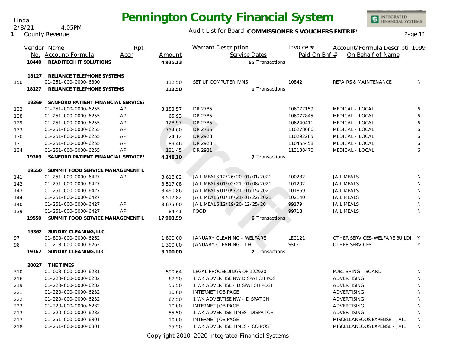2/8/21 4:05PM

**1** County Revenue

#### Audit List for Board COMMISSIONER'S VOUCHERS ENTRIES<br>
Page 11

| Paid On Bhf #<br>On Behalf of Name<br>No. Account/Formula<br>Service Dates<br>Accr<br>Amount<br>READITECH IT SOLUTIONS<br>18440<br>65 Transactions<br>4,935.13<br>RELIANCE TELEPHONE SYSTEMS<br>18127<br>01-251-000-0000-6300<br>112.50<br>SET UP COMPUTER IVMS<br>10842<br><b>REPAIRS &amp; MAINTENANCE</b><br>N<br>150<br>18127<br>RELIANCE TELEPHONE SYSTEMS<br>112.50<br>1 Transactions<br>19369<br>SANFORD PATIENT FINANCIAL SERVICES<br>01-251-000-0000-6255<br>DR 2785<br>106077159<br>AP<br>MEDICAL - LOCAL<br>6<br>132<br>3,153.57<br>01-251-000-0000-6255<br>AP<br>65.93<br>DR 2785<br>106077845<br>MEDICAL - LOCAL<br>6<br>128<br>AP<br>DR 2785<br>01-251-000-0000-6255<br>128.97<br>106240411<br>MEDICAL - LOCAL<br>6<br>129<br>DR 2785<br>MEDICAL - LOCAL<br>6<br>01-251-000-0000-6255<br>AP<br>754.60<br>110278666<br>133<br>6<br>01-251-000-0000-6255<br>AP<br>DR 2923<br>110292285<br>MEDICAL - LOCAL<br>130<br>24.12<br>01-251-000-0000-6255<br>AP<br>DR 2923<br>6<br>131<br>89.46<br>110455458<br>MEDICAL - LOCAL<br>DR 2931<br>01-251-000-0000-6255<br>AP<br>131.45<br>113138470<br>MEDICAL - LOCAL<br>6<br>134<br>19369<br>SANFORD PATIENT FINANCIAL SERVICES<br>4,348.10<br>7 Transactions<br>19550<br>SUMMIT FOOD SERVICE MANAGEMENT L<br>01-251-000-0000-6427<br>AP<br>JAIL MEALS 12/26/20-01/01/2021<br>100282<br><b>JAIL MEALS</b><br>141<br>3,618.82<br>N<br>JAIL MEALS 01/02/21-01/08/2021<br>101202<br><b>JAIL MEALS</b><br>01-251-000-0000-6427<br>3,517.08<br>N<br>142<br>01-251-000-0000-6427<br>3,490.86<br>JAIL MEALS 01/09/21-01/15/2021<br>101869<br><b>JAIL MEALS</b><br>N<br>143<br>JAIL MEALS 01/16/21-01/22/2021<br>102140<br>01-251-000-0000-6427<br><b>JAIL MEALS</b><br>N<br>144<br>3,517.82<br>JAIL MEALS 12/19/20-12/25/20<br>01-251-000-0000-6427<br>AP<br>99179<br><b>JAIL MEALS</b><br>N<br>140<br>3,675.00<br>AP<br>99718<br>01-251-000-0000-6427<br><b>FOOD</b><br><b>JAIL MEALS</b><br>N<br>139<br>84.41<br>SUMMIT FOOD SERVICE MANAGEMENT L<br>19550<br>17,903.99<br>6 Transactions<br>19362 SUNDBY CLEANING, LLC<br><b>LEC121</b><br>OTHER SERVICES-WELFARE BUILDI Y<br>01-800-000-0000-6262<br>1,800.00<br>JANUARY CLEANING - WELFARE<br>97<br>01-218-000-0000-6262<br>JANUARY CLEANING - LEC<br>SS121<br><b>OTHER SERVICES</b><br>1,300.00<br>Y<br>98<br>19362<br>SUNDBY CLEANING, LLC<br>2 Transactions<br>3,100.00<br>20027<br>THE TIMES<br>PUBLISHING - BOARD<br>310<br>01-003-000-0000-6231<br>590.64<br>LEGAL PROCEEDINGS OF 122920<br>N<br>01-220-000-0000-6232<br>67.50<br>1 WK ADVERTISE NW DISPATCH POS<br>ADVERTISING<br>N<br>216<br>55.50<br>1 WK ADVERTISE - DISPATCH POST<br>ADVERTISING<br>219<br>01-220-000-0000-6232<br>N<br>221<br>01-220-000-0000-6232<br>10.00<br><b>INTERNET JOB PAGE</b><br>ADVERTISING<br>N<br>01-220-000-0000-6232<br>1 WK ADVERTISE NW - DISPATCH<br>ADVERTISING<br>222<br>67.50<br>N<br><b>INTERNET JOB PAGE</b><br>01-220-000-0000-6232<br>10.00<br>ADVERTISING<br>N<br>223<br>01-220-000-0000-6232<br>1 WK ADVERTISE TIMES - DISPATCH<br>ADVERTISING<br>213<br>55.50<br>N<br>01-251-000-0000-6801<br><b>INTERNET JOB PAGE</b><br>MISCELLANEOUS EXPENSE - JAIL<br>217<br>10.00<br>N |     | Vendor Name          | Rpt |       | <b>Warrant Description</b>     | Invoice $#$ | Account/Formula Descripti 1099 |   |
|-------------------------------------------------------------------------------------------------------------------------------------------------------------------------------------------------------------------------------------------------------------------------------------------------------------------------------------------------------------------------------------------------------------------------------------------------------------------------------------------------------------------------------------------------------------------------------------------------------------------------------------------------------------------------------------------------------------------------------------------------------------------------------------------------------------------------------------------------------------------------------------------------------------------------------------------------------------------------------------------------------------------------------------------------------------------------------------------------------------------------------------------------------------------------------------------------------------------------------------------------------------------------------------------------------------------------------------------------------------------------------------------------------------------------------------------------------------------------------------------------------------------------------------------------------------------------------------------------------------------------------------------------------------------------------------------------------------------------------------------------------------------------------------------------------------------------------------------------------------------------------------------------------------------------------------------------------------------------------------------------------------------------------------------------------------------------------------------------------------------------------------------------------------------------------------------------------------------------------------------------------------------------------------------------------------------------------------------------------------------------------------------------------------------------------------------------------------------------------------------------------------------------------------------------------------------------------------------------------------------------------------------------------------------------------------------------------------------------------------------------------------------------------------------------------------------------------------------------------------------------------------------------------------------------------------------------------------------------------------------------------------------------------------------------------------------------------------------------------------------------------------------------------------------------------------|-----|----------------------|-----|-------|--------------------------------|-------------|--------------------------------|---|
|                                                                                                                                                                                                                                                                                                                                                                                                                                                                                                                                                                                                                                                                                                                                                                                                                                                                                                                                                                                                                                                                                                                                                                                                                                                                                                                                                                                                                                                                                                                                                                                                                                                                                                                                                                                                                                                                                                                                                                                                                                                                                                                                                                                                                                                                                                                                                                                                                                                                                                                                                                                                                                                                                                                                                                                                                                                                                                                                                                                                                                                                                                                                                                                     |     |                      |     |       |                                |             |                                |   |
|                                                                                                                                                                                                                                                                                                                                                                                                                                                                                                                                                                                                                                                                                                                                                                                                                                                                                                                                                                                                                                                                                                                                                                                                                                                                                                                                                                                                                                                                                                                                                                                                                                                                                                                                                                                                                                                                                                                                                                                                                                                                                                                                                                                                                                                                                                                                                                                                                                                                                                                                                                                                                                                                                                                                                                                                                                                                                                                                                                                                                                                                                                                                                                                     |     |                      |     |       |                                |             |                                |   |
|                                                                                                                                                                                                                                                                                                                                                                                                                                                                                                                                                                                                                                                                                                                                                                                                                                                                                                                                                                                                                                                                                                                                                                                                                                                                                                                                                                                                                                                                                                                                                                                                                                                                                                                                                                                                                                                                                                                                                                                                                                                                                                                                                                                                                                                                                                                                                                                                                                                                                                                                                                                                                                                                                                                                                                                                                                                                                                                                                                                                                                                                                                                                                                                     |     |                      |     |       |                                |             |                                |   |
|                                                                                                                                                                                                                                                                                                                                                                                                                                                                                                                                                                                                                                                                                                                                                                                                                                                                                                                                                                                                                                                                                                                                                                                                                                                                                                                                                                                                                                                                                                                                                                                                                                                                                                                                                                                                                                                                                                                                                                                                                                                                                                                                                                                                                                                                                                                                                                                                                                                                                                                                                                                                                                                                                                                                                                                                                                                                                                                                                                                                                                                                                                                                                                                     |     |                      |     |       |                                |             |                                |   |
|                                                                                                                                                                                                                                                                                                                                                                                                                                                                                                                                                                                                                                                                                                                                                                                                                                                                                                                                                                                                                                                                                                                                                                                                                                                                                                                                                                                                                                                                                                                                                                                                                                                                                                                                                                                                                                                                                                                                                                                                                                                                                                                                                                                                                                                                                                                                                                                                                                                                                                                                                                                                                                                                                                                                                                                                                                                                                                                                                                                                                                                                                                                                                                                     |     |                      |     |       |                                |             |                                |   |
|                                                                                                                                                                                                                                                                                                                                                                                                                                                                                                                                                                                                                                                                                                                                                                                                                                                                                                                                                                                                                                                                                                                                                                                                                                                                                                                                                                                                                                                                                                                                                                                                                                                                                                                                                                                                                                                                                                                                                                                                                                                                                                                                                                                                                                                                                                                                                                                                                                                                                                                                                                                                                                                                                                                                                                                                                                                                                                                                                                                                                                                                                                                                                                                     |     |                      |     |       |                                |             |                                |   |
|                                                                                                                                                                                                                                                                                                                                                                                                                                                                                                                                                                                                                                                                                                                                                                                                                                                                                                                                                                                                                                                                                                                                                                                                                                                                                                                                                                                                                                                                                                                                                                                                                                                                                                                                                                                                                                                                                                                                                                                                                                                                                                                                                                                                                                                                                                                                                                                                                                                                                                                                                                                                                                                                                                                                                                                                                                                                                                                                                                                                                                                                                                                                                                                     |     |                      |     |       |                                |             |                                |   |
|                                                                                                                                                                                                                                                                                                                                                                                                                                                                                                                                                                                                                                                                                                                                                                                                                                                                                                                                                                                                                                                                                                                                                                                                                                                                                                                                                                                                                                                                                                                                                                                                                                                                                                                                                                                                                                                                                                                                                                                                                                                                                                                                                                                                                                                                                                                                                                                                                                                                                                                                                                                                                                                                                                                                                                                                                                                                                                                                                                                                                                                                                                                                                                                     |     |                      |     |       |                                |             |                                |   |
|                                                                                                                                                                                                                                                                                                                                                                                                                                                                                                                                                                                                                                                                                                                                                                                                                                                                                                                                                                                                                                                                                                                                                                                                                                                                                                                                                                                                                                                                                                                                                                                                                                                                                                                                                                                                                                                                                                                                                                                                                                                                                                                                                                                                                                                                                                                                                                                                                                                                                                                                                                                                                                                                                                                                                                                                                                                                                                                                                                                                                                                                                                                                                                                     |     |                      |     |       |                                |             |                                |   |
|                                                                                                                                                                                                                                                                                                                                                                                                                                                                                                                                                                                                                                                                                                                                                                                                                                                                                                                                                                                                                                                                                                                                                                                                                                                                                                                                                                                                                                                                                                                                                                                                                                                                                                                                                                                                                                                                                                                                                                                                                                                                                                                                                                                                                                                                                                                                                                                                                                                                                                                                                                                                                                                                                                                                                                                                                                                                                                                                                                                                                                                                                                                                                                                     |     |                      |     |       |                                |             |                                |   |
|                                                                                                                                                                                                                                                                                                                                                                                                                                                                                                                                                                                                                                                                                                                                                                                                                                                                                                                                                                                                                                                                                                                                                                                                                                                                                                                                                                                                                                                                                                                                                                                                                                                                                                                                                                                                                                                                                                                                                                                                                                                                                                                                                                                                                                                                                                                                                                                                                                                                                                                                                                                                                                                                                                                                                                                                                                                                                                                                                                                                                                                                                                                                                                                     |     |                      |     |       |                                |             |                                |   |
|                                                                                                                                                                                                                                                                                                                                                                                                                                                                                                                                                                                                                                                                                                                                                                                                                                                                                                                                                                                                                                                                                                                                                                                                                                                                                                                                                                                                                                                                                                                                                                                                                                                                                                                                                                                                                                                                                                                                                                                                                                                                                                                                                                                                                                                                                                                                                                                                                                                                                                                                                                                                                                                                                                                                                                                                                                                                                                                                                                                                                                                                                                                                                                                     |     |                      |     |       |                                |             |                                |   |
|                                                                                                                                                                                                                                                                                                                                                                                                                                                                                                                                                                                                                                                                                                                                                                                                                                                                                                                                                                                                                                                                                                                                                                                                                                                                                                                                                                                                                                                                                                                                                                                                                                                                                                                                                                                                                                                                                                                                                                                                                                                                                                                                                                                                                                                                                                                                                                                                                                                                                                                                                                                                                                                                                                                                                                                                                                                                                                                                                                                                                                                                                                                                                                                     |     |                      |     |       |                                |             |                                |   |
|                                                                                                                                                                                                                                                                                                                                                                                                                                                                                                                                                                                                                                                                                                                                                                                                                                                                                                                                                                                                                                                                                                                                                                                                                                                                                                                                                                                                                                                                                                                                                                                                                                                                                                                                                                                                                                                                                                                                                                                                                                                                                                                                                                                                                                                                                                                                                                                                                                                                                                                                                                                                                                                                                                                                                                                                                                                                                                                                                                                                                                                                                                                                                                                     |     |                      |     |       |                                |             |                                |   |
|                                                                                                                                                                                                                                                                                                                                                                                                                                                                                                                                                                                                                                                                                                                                                                                                                                                                                                                                                                                                                                                                                                                                                                                                                                                                                                                                                                                                                                                                                                                                                                                                                                                                                                                                                                                                                                                                                                                                                                                                                                                                                                                                                                                                                                                                                                                                                                                                                                                                                                                                                                                                                                                                                                                                                                                                                                                                                                                                                                                                                                                                                                                                                                                     |     |                      |     |       |                                |             |                                |   |
|                                                                                                                                                                                                                                                                                                                                                                                                                                                                                                                                                                                                                                                                                                                                                                                                                                                                                                                                                                                                                                                                                                                                                                                                                                                                                                                                                                                                                                                                                                                                                                                                                                                                                                                                                                                                                                                                                                                                                                                                                                                                                                                                                                                                                                                                                                                                                                                                                                                                                                                                                                                                                                                                                                                                                                                                                                                                                                                                                                                                                                                                                                                                                                                     |     |                      |     |       |                                |             |                                |   |
|                                                                                                                                                                                                                                                                                                                                                                                                                                                                                                                                                                                                                                                                                                                                                                                                                                                                                                                                                                                                                                                                                                                                                                                                                                                                                                                                                                                                                                                                                                                                                                                                                                                                                                                                                                                                                                                                                                                                                                                                                                                                                                                                                                                                                                                                                                                                                                                                                                                                                                                                                                                                                                                                                                                                                                                                                                                                                                                                                                                                                                                                                                                                                                                     |     |                      |     |       |                                |             |                                |   |
|                                                                                                                                                                                                                                                                                                                                                                                                                                                                                                                                                                                                                                                                                                                                                                                                                                                                                                                                                                                                                                                                                                                                                                                                                                                                                                                                                                                                                                                                                                                                                                                                                                                                                                                                                                                                                                                                                                                                                                                                                                                                                                                                                                                                                                                                                                                                                                                                                                                                                                                                                                                                                                                                                                                                                                                                                                                                                                                                                                                                                                                                                                                                                                                     |     |                      |     |       |                                |             |                                |   |
|                                                                                                                                                                                                                                                                                                                                                                                                                                                                                                                                                                                                                                                                                                                                                                                                                                                                                                                                                                                                                                                                                                                                                                                                                                                                                                                                                                                                                                                                                                                                                                                                                                                                                                                                                                                                                                                                                                                                                                                                                                                                                                                                                                                                                                                                                                                                                                                                                                                                                                                                                                                                                                                                                                                                                                                                                                                                                                                                                                                                                                                                                                                                                                                     |     |                      |     |       |                                |             |                                |   |
|                                                                                                                                                                                                                                                                                                                                                                                                                                                                                                                                                                                                                                                                                                                                                                                                                                                                                                                                                                                                                                                                                                                                                                                                                                                                                                                                                                                                                                                                                                                                                                                                                                                                                                                                                                                                                                                                                                                                                                                                                                                                                                                                                                                                                                                                                                                                                                                                                                                                                                                                                                                                                                                                                                                                                                                                                                                                                                                                                                                                                                                                                                                                                                                     |     |                      |     |       |                                |             |                                |   |
|                                                                                                                                                                                                                                                                                                                                                                                                                                                                                                                                                                                                                                                                                                                                                                                                                                                                                                                                                                                                                                                                                                                                                                                                                                                                                                                                                                                                                                                                                                                                                                                                                                                                                                                                                                                                                                                                                                                                                                                                                                                                                                                                                                                                                                                                                                                                                                                                                                                                                                                                                                                                                                                                                                                                                                                                                                                                                                                                                                                                                                                                                                                                                                                     |     |                      |     |       |                                |             |                                |   |
|                                                                                                                                                                                                                                                                                                                                                                                                                                                                                                                                                                                                                                                                                                                                                                                                                                                                                                                                                                                                                                                                                                                                                                                                                                                                                                                                                                                                                                                                                                                                                                                                                                                                                                                                                                                                                                                                                                                                                                                                                                                                                                                                                                                                                                                                                                                                                                                                                                                                                                                                                                                                                                                                                                                                                                                                                                                                                                                                                                                                                                                                                                                                                                                     |     |                      |     |       |                                |             |                                |   |
|                                                                                                                                                                                                                                                                                                                                                                                                                                                                                                                                                                                                                                                                                                                                                                                                                                                                                                                                                                                                                                                                                                                                                                                                                                                                                                                                                                                                                                                                                                                                                                                                                                                                                                                                                                                                                                                                                                                                                                                                                                                                                                                                                                                                                                                                                                                                                                                                                                                                                                                                                                                                                                                                                                                                                                                                                                                                                                                                                                                                                                                                                                                                                                                     |     |                      |     |       |                                |             |                                |   |
|                                                                                                                                                                                                                                                                                                                                                                                                                                                                                                                                                                                                                                                                                                                                                                                                                                                                                                                                                                                                                                                                                                                                                                                                                                                                                                                                                                                                                                                                                                                                                                                                                                                                                                                                                                                                                                                                                                                                                                                                                                                                                                                                                                                                                                                                                                                                                                                                                                                                                                                                                                                                                                                                                                                                                                                                                                                                                                                                                                                                                                                                                                                                                                                     |     |                      |     |       |                                |             |                                |   |
|                                                                                                                                                                                                                                                                                                                                                                                                                                                                                                                                                                                                                                                                                                                                                                                                                                                                                                                                                                                                                                                                                                                                                                                                                                                                                                                                                                                                                                                                                                                                                                                                                                                                                                                                                                                                                                                                                                                                                                                                                                                                                                                                                                                                                                                                                                                                                                                                                                                                                                                                                                                                                                                                                                                                                                                                                                                                                                                                                                                                                                                                                                                                                                                     |     |                      |     |       |                                |             |                                |   |
|                                                                                                                                                                                                                                                                                                                                                                                                                                                                                                                                                                                                                                                                                                                                                                                                                                                                                                                                                                                                                                                                                                                                                                                                                                                                                                                                                                                                                                                                                                                                                                                                                                                                                                                                                                                                                                                                                                                                                                                                                                                                                                                                                                                                                                                                                                                                                                                                                                                                                                                                                                                                                                                                                                                                                                                                                                                                                                                                                                                                                                                                                                                                                                                     |     |                      |     |       |                                |             |                                |   |
|                                                                                                                                                                                                                                                                                                                                                                                                                                                                                                                                                                                                                                                                                                                                                                                                                                                                                                                                                                                                                                                                                                                                                                                                                                                                                                                                                                                                                                                                                                                                                                                                                                                                                                                                                                                                                                                                                                                                                                                                                                                                                                                                                                                                                                                                                                                                                                                                                                                                                                                                                                                                                                                                                                                                                                                                                                                                                                                                                                                                                                                                                                                                                                                     |     |                      |     |       |                                |             |                                |   |
|                                                                                                                                                                                                                                                                                                                                                                                                                                                                                                                                                                                                                                                                                                                                                                                                                                                                                                                                                                                                                                                                                                                                                                                                                                                                                                                                                                                                                                                                                                                                                                                                                                                                                                                                                                                                                                                                                                                                                                                                                                                                                                                                                                                                                                                                                                                                                                                                                                                                                                                                                                                                                                                                                                                                                                                                                                                                                                                                                                                                                                                                                                                                                                                     |     |                      |     |       |                                |             |                                |   |
|                                                                                                                                                                                                                                                                                                                                                                                                                                                                                                                                                                                                                                                                                                                                                                                                                                                                                                                                                                                                                                                                                                                                                                                                                                                                                                                                                                                                                                                                                                                                                                                                                                                                                                                                                                                                                                                                                                                                                                                                                                                                                                                                                                                                                                                                                                                                                                                                                                                                                                                                                                                                                                                                                                                                                                                                                                                                                                                                                                                                                                                                                                                                                                                     |     |                      |     |       |                                |             |                                |   |
|                                                                                                                                                                                                                                                                                                                                                                                                                                                                                                                                                                                                                                                                                                                                                                                                                                                                                                                                                                                                                                                                                                                                                                                                                                                                                                                                                                                                                                                                                                                                                                                                                                                                                                                                                                                                                                                                                                                                                                                                                                                                                                                                                                                                                                                                                                                                                                                                                                                                                                                                                                                                                                                                                                                                                                                                                                                                                                                                                                                                                                                                                                                                                                                     |     |                      |     |       |                                |             |                                |   |
|                                                                                                                                                                                                                                                                                                                                                                                                                                                                                                                                                                                                                                                                                                                                                                                                                                                                                                                                                                                                                                                                                                                                                                                                                                                                                                                                                                                                                                                                                                                                                                                                                                                                                                                                                                                                                                                                                                                                                                                                                                                                                                                                                                                                                                                                                                                                                                                                                                                                                                                                                                                                                                                                                                                                                                                                                                                                                                                                                                                                                                                                                                                                                                                     |     |                      |     |       |                                |             |                                |   |
|                                                                                                                                                                                                                                                                                                                                                                                                                                                                                                                                                                                                                                                                                                                                                                                                                                                                                                                                                                                                                                                                                                                                                                                                                                                                                                                                                                                                                                                                                                                                                                                                                                                                                                                                                                                                                                                                                                                                                                                                                                                                                                                                                                                                                                                                                                                                                                                                                                                                                                                                                                                                                                                                                                                                                                                                                                                                                                                                                                                                                                                                                                                                                                                     |     |                      |     |       |                                |             |                                |   |
|                                                                                                                                                                                                                                                                                                                                                                                                                                                                                                                                                                                                                                                                                                                                                                                                                                                                                                                                                                                                                                                                                                                                                                                                                                                                                                                                                                                                                                                                                                                                                                                                                                                                                                                                                                                                                                                                                                                                                                                                                                                                                                                                                                                                                                                                                                                                                                                                                                                                                                                                                                                                                                                                                                                                                                                                                                                                                                                                                                                                                                                                                                                                                                                     |     |                      |     |       |                                |             |                                |   |
|                                                                                                                                                                                                                                                                                                                                                                                                                                                                                                                                                                                                                                                                                                                                                                                                                                                                                                                                                                                                                                                                                                                                                                                                                                                                                                                                                                                                                                                                                                                                                                                                                                                                                                                                                                                                                                                                                                                                                                                                                                                                                                                                                                                                                                                                                                                                                                                                                                                                                                                                                                                                                                                                                                                                                                                                                                                                                                                                                                                                                                                                                                                                                                                     |     |                      |     |       |                                |             |                                |   |
|                                                                                                                                                                                                                                                                                                                                                                                                                                                                                                                                                                                                                                                                                                                                                                                                                                                                                                                                                                                                                                                                                                                                                                                                                                                                                                                                                                                                                                                                                                                                                                                                                                                                                                                                                                                                                                                                                                                                                                                                                                                                                                                                                                                                                                                                                                                                                                                                                                                                                                                                                                                                                                                                                                                                                                                                                                                                                                                                                                                                                                                                                                                                                                                     |     |                      |     |       |                                |             |                                |   |
|                                                                                                                                                                                                                                                                                                                                                                                                                                                                                                                                                                                                                                                                                                                                                                                                                                                                                                                                                                                                                                                                                                                                                                                                                                                                                                                                                                                                                                                                                                                                                                                                                                                                                                                                                                                                                                                                                                                                                                                                                                                                                                                                                                                                                                                                                                                                                                                                                                                                                                                                                                                                                                                                                                                                                                                                                                                                                                                                                                                                                                                                                                                                                                                     | 218 | 01-251-000-0000-6801 |     | 55.50 | 1 WK ADVERTISE TIMES - CO POST |             | MISCELLANEOUS EXPENSE - JAIL   | N |

Copyright 2010-2020 Integrated Financial Systems

Linda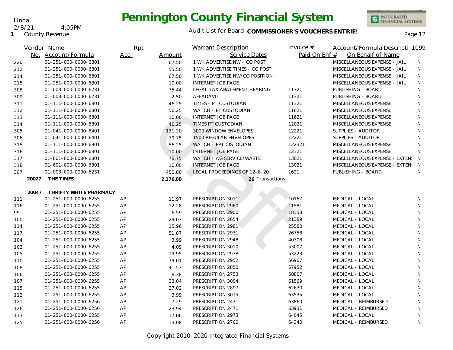

**1** County Revenue 2/8/21 4:05PM

Linda

| Vendor Name |                                 | Rpt  |          | <b>Warrant Description</b>     | Invoice $#$   | Account/Formula Descripti 1099   |              |
|-------------|---------------------------------|------|----------|--------------------------------|---------------|----------------------------------|--------------|
|             | No. Account/Formula             | Accr | Amount   | Service Dates                  | Paid On Bhf # | On Behalf of Name                |              |
| 220         | 01-251-000-0000-6801            |      | 67.50    | 1 WK ADVERTISE NW - CO POST    |               | MISCELLANEOUS EXPENSE - JAIL     | N            |
| 212         | 01-251-000-0000-6801            |      | 55.50    | 1 WK ADVERTISE TIMES - CO POST |               | MISCELLANEOUS EXPENSE - JAIL     | N            |
| 214         | 01-251-000-0000-6801            |      | 67.50    | 1 WK ADVERTISE NW/CO POSITION  |               | MISCELLANEOUS EXPENSE - JAIL     | N            |
| 215         | 01-251-000-0000-6801            |      | 10.00    | <b>INTERNET JOB PAGE</b>       |               | MISCELLANEOUS EXPENSE - JAIL     | N            |
| 308         | 01-003-000-0000-6231            |      | 75.44    | LEGAL TAX ABATEMENT HEARING    | 11321         | PUBLISHING - BOARD               | N            |
| 309         | 01-003-000-0000-6231            |      | 2.50     | AFFADAVIT                      | 11321         | PUBLISHING - BOARD               | N            |
| 311         | 01-111-000-0000-6801            |      | 46.25    | TIMES - PT CUSTODIAN           | 11321         | MISCELLANEOUS EXPENSE            | $\mathsf{N}$ |
| 312         | 01-111-000-0000-6801            |      | 56.25    | WATCH - PT CUSTODIAN           | 11621         | MISCELLANEOUS EXPENSE            | $\mathsf{N}$ |
| 313         | 01-111-000-0000-6801            |      | 10.00    | <b>INTERNET JOB PAGE</b>       | 11621         | MISCELLANEOUS EXPENSE            | N            |
| 314         | 01-111-000-0000-6801            |      | 46.25    | TIMES PT CUSTODIAN             | 12021         | MISCELLANEOUS EXPENSE            | N            |
| 305         | 01-041-000-0000-6401            |      | 131.20   | 3000 WINDOW ENVELOPES          | 12221         | SUPPLIES - AUDITOR               | N            |
| 306         | 01-041-000-0000-6401            |      | 79.75    | <b>1500 REGULAR ENVELOPES</b>  | 12221         | SUPPLIES - AUDITOR               | N            |
| 315         | 01-111-000-0000-6801            |      | 56.25    | WATCH - PPT CISTODIAN          | 122321        | MISCELLANEOUS EXPENSE            | N            |
| 316         | 01-111-000-0000-6801            |      | 10.00    | <b>INTERNET JOB PAGE</b>       | 12321         | MISCELLANEOUS EXPENSE            | N            |
| 317         | 01-601-000-0000-6801            |      | 78.75    | WATCH - AG SERVICE/WASTE       | 13021         | MISCELLANEOUS EXPENSE - EXTEN: N |              |
| 318         | 01-601-000-0000-6801            |      | 10.00    | <b>INTERNET JOB PAGE</b>       | 13021         | MISCELLANEOUS EXPENSE - EXTEN: N |              |
| 307         | 01-003-000-0000-6231            |      | 450.80   | LEGAL PROCEEDINGS OF 12-8-20   | 1621          | PUBLISHING - BOARD               | N            |
|             | 20027<br>THE TIMES              |      | 2,176.08 | 26 Transactions                |               |                                  |              |
|             |                                 |      |          |                                |               |                                  |              |
|             | 20047<br>THRIFTY WHITE PHARMACY |      |          |                                |               |                                  |              |
| 111         | 01-251-000-0000-6255            | AP   | 11.97    | PRESCRIPTION 3011              | 10167         | MEDICAL - LOCAL                  | N            |
| 116         | 01-251-000-0000-6255            | AP   | 12.28    | PRESCRIPTION 2960              | 11581         | MEDICAL - LOCAL                  | N            |
| 99          | 01-251-000-0000-6255            | AP   | 6.59     | PRESCRIPTION 2900              | 18358         | MEDICAL - LOCAL                  | N            |
| 100         | 01-251-000-0000-6255            | AP   | 29.03    | PRESCRIPTION 2654              | 21389         | MEDICAL - LOCAL                  | N            |
| 114         | 01-251-000-0000-6255            | AP   | 15.96    | PRESCRIPTION 2981              | 25580         | MEDICAL - LOCAL                  | N            |
| 117         | 01-251-000-0000-6255            | AP   | 51.87    | PRESCRIPTION 2931              | 26758         | MEDICAL - LOCAL                  | N            |
| 104         | 01-251-000-0000-6255            | AP   | 3.99     | PRESCRIPTION 2948              | 40308         | MEDICAL - LOCAL                  | $\mathsf{N}$ |
| 102         | 01-251-000-0000-6255            | AP   | 4.09     | PRESCRIPTION 3010              | 53007         | MEDICAL - LOCAL                  | N            |
| 105         | 01-251-000-0000-6255            | AP   | 19.95    | PRESCRIPTION 2978              | 53223         | MEDICAL - LOCAL                  | N            |
| 110         | 01-251-000-0000-6255            | AP   | 79.01    | PRESCRIPTION 2952              | 56907         | MEDICAL - LOCAL                  | N            |
| 108         | 01-251-000-0000-6255            | AP   | 41.53    | PRESCRIPTION 2850              | 57952         | MEDICAL - LOCAL                  | N            |
| 106         | 01-251-000-0000-6255            | AP   | 8.38     | PRESCRIPTION 2753              | 58807         | MEDICAL - LOCAL                  | N            |
| 107         | 01-251-000-0000-6255            | AP   | 33.04    | PRESCRIPTION 3004              | 61569         | MEDICAL - LOCAL                  | N            |
| 115         | 01-251-000-0000-6255            | AP   | 27.02    | PRESCRIPTION 2897              | 62630         | MEDICAL - LOCAL                  | $\mathsf{N}$ |
| 112         | 01-251-000-0000-6255            | AP   | 3.99     | PRESCRIPTION 3015              | 63535         | MEDICAL - LOCAL                  | N            |
| 121         | 01-251-000-0000-6256            | AP   | 7.29     | PRESCRIPTION 2431              | 63860         | MEDICAL - REIMBURSED             | N            |
| 126         | 01-251-000-0000-6256            | AP   | 23.94    | PRESCRIPTION 2471              | 63931         | MEDICAL - REIMBURSED             | N            |
| 113         | 01-251-000-0000-6255            | AP   | 17.06    | PRESCRIPTION 2973              | 64045         | MEDICAL - LOCAL                  | N            |
| 125         | 01-251-000-0000-6256            | AP   | 13.08    | PRESCRIPTION 2760              | 64340         | MEDICAL - REIMBURSED             | N            |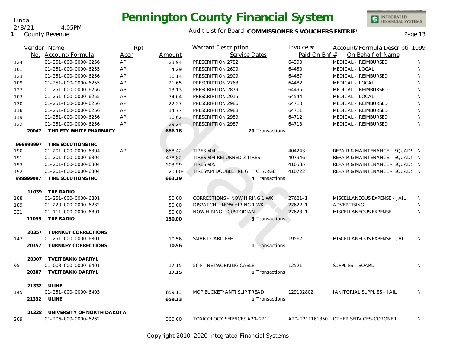#### Audit List for Board COMMISSIONER'S VOUCHERS ENTRIES<br>Page 13

|           | Vendor Name                                                 | Rpt  |                         | Warrant Description                | Invoice $#$                        | Account/Formula Descripti 1099        |   |
|-----------|-------------------------------------------------------------|------|-------------------------|------------------------------------|------------------------------------|---------------------------------------|---|
|           | No. Account/Formula                                         | Accr | Service Dates<br>Amount |                                    | Paid On Bhf #<br>On Behalf of Name |                                       |   |
| 124       | 01-251-000-0000-6256                                        | AP   | 23.94                   | PRESCRIPTION 2782                  | 64390                              | MEDICAL - REIMBURSED                  | N |
| 101       | 01-251-000-0000-6255                                        | AP   | 4.29                    | PRESCRIPTION 2699                  | 64450                              | MEDICAL - LOCAL                       | N |
| 123       | 01-251-000-0000-6256                                        | AP   | 36.14                   | PRESCRIPTION 2909                  | 64467                              | MEDICAL - REIMBURSED                  | N |
| 109       | 01-251-000-0000-6255                                        | AP   | 21.65                   | PRESCRIPTION 2763                  | 64482                              | MEDICAL - LOCAL                       | N |
| 127       | 01-251-000-0000-6256                                        | AP   | 13.13                   | PRESCRIPTION 2879                  | 64495                              | MEDICAL - REIMBURSED                  | N |
| 103       | 01-251-000-0000-6255                                        | AP   | 74.04                   | PRESCRIPTION 2915                  | 64544                              | MEDICAL - LOCAL                       | N |
| 120       | 01-251-000-0000-6256                                        | AP   | 22.27                   | PRESCRIPTION 2986                  | 64710                              | MEDICAL - REIMBURSED                  | N |
| 118       | 01-251-000-0000-6256                                        | AP   | 14.77                   | PRESCRIPTION 2988                  | 64711                              | MEDICAL - REIMBURSED                  | N |
| 119       | 01-251-000-0000-6256                                        | AP   | 36.62                   | PRESCRIPTION 2989                  | 64712                              | MEDICAL - REIMBURSED                  | N |
| 122       | 01-251-000-0000-6256                                        | AP   | 29.24                   | PRESCRIPTION 2987                  | 64713                              | MEDICAL - REIMBURSED                  | N |
| 20047     | THRIFTY WHITE PHARMACY                                      |      | 686.16                  | 29 Transactions                    |                                    |                                       |   |
| 999999997 | TIRE SOLUTIONS INC                                          |      |                         |                                    |                                    |                                       |   |
| 190       | 01-201-000-0000-6304                                        | AP   | 658.42                  | TIRES #04                          | 404243                             | REPAIR & MAINTENANCE - SQUAD! N       |   |
| 191       | 01-201-000-0000-6304                                        |      | $478.82 -$              | TIRES #04 RETURNED 3 TIRES         | 407946                             | REPAIR & MAINTENANCE - SQUAD! N       |   |
| 193       | 01-201-000-0000-6304                                        |      | 503.59                  | <b>TIRES #05</b>                   | 410585                             | REPAIR & MAINTENANCE - SQUAD! N       |   |
| 192       | 01-201-000-0000-6304                                        |      | $20.00 -$               | TIRES#04 DOUBLE FREIGHT CHARGE     | 410722                             | REPAIR & MAINTENANCE - SQUAD! N       |   |
| 99999997  | TIRE SOLUTIONS INC                                          |      | 663.19                  | 4 Transactions                     |                                    |                                       |   |
|           | 11039 TRF RADIO                                             |      |                         |                                    |                                    |                                       |   |
| 188       | 01-251-000-0000-6801                                        |      | 50.00                   | CORRECTIONS - NOW HIRING 1 WK      | $27621 - 1$                        | MISCELLANEOUS EXPENSE - JAIL          | N |
| 189       | 01-220-000-0000-6232                                        |      | 50.00                   | DISPATCH - NOW HIRING 1 WK         | $27622 - 1$                        | ADVERTISING                           | N |
| 331       | 01-111-000-0000-6801                                        |      | 50.00                   | NOW HIRING - CUSTODIAN             | $27623 - 1$                        | MISCELLANEOUS EXPENSE                 | N |
|           | 11039 TRF RADIO                                             |      | 150.00                  | 3 Transactions                     |                                    |                                       |   |
|           | 20357 TURNKEY CORRECTIONS                                   |      |                         |                                    |                                    |                                       |   |
| 147       | 01-251-000-0000-6801                                        |      | 10.56                   | SMART CARD FEE                     | 19562                              | MISCELLANEOUS EXPENSE - JAIL          | N |
|           | 20357 TURNKEY CORRECTIONS                                   |      | 10.56                   | 1 Transactions                     |                                    |                                       |   |
|           | 20307 TVEITBAKK/DARRYL                                      |      |                         |                                    |                                    |                                       |   |
| 95        | 01-003-000-0000-6401                                        |      | 17.15                   | 50 FT NETWORKING CABLE             | 12521                              | SUPPLIES - BOARD                      | N |
| 20307     | TVEITBAKK/DARRYL                                            |      | 17.15                   | 1 Transactions                     |                                    |                                       |   |
|           | 21332 ULINE                                                 |      |                         |                                    |                                    |                                       |   |
| 145       | 01-251-000-0000-6403                                        |      | 659.13                  | MOP BUCKET/ANTI SLIP TREAD         | 129102802                          | JANITORIAL SUPPLIES - JAIL            | N |
|           | 21332 ULINE                                                 |      | 659.13                  | 1 Transactions                     |                                    |                                       |   |
|           | UNIVERSITY OF NORTH DAKOTA<br>21338<br>01-206-000-0000-6262 |      |                         | <b>TOXICOLOGY SERVICES A20-221</b> |                                    | A20-2211161850 OTHER SERVICES-CORONER |   |
| 209       |                                                             |      | 300.00                  |                                    |                                    |                                       | N |

Copyright 2010-2020 Integrated Financial Systems

Linda

2/8/21 4:05PM

**1** County Revenue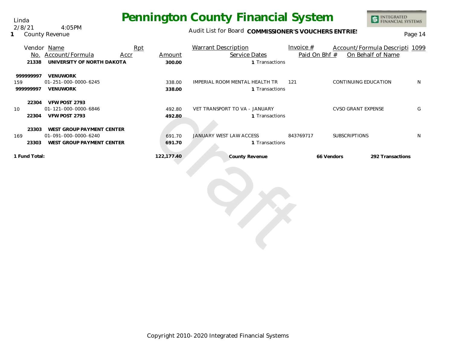Linda 2/8/21 4:05PM

**1** County Revenue

#### Audit List for Board COMMISSIONER'S VOUCHERS ENTRIES<br>Page 14

|               | Rpt<br>Vendor Name         |      |            | <b>Warrant Description</b>     | Invoice $#$   |                           | Account/Formula Descripti 1099 |              |
|---------------|----------------------------|------|------------|--------------------------------|---------------|---------------------------|--------------------------------|--------------|
| No.           | Account/Formula            | Accr | Amount     | Service Dates                  | Paid On Bhf # |                           | On Behalf of Name              |              |
| 21338         | UNIVERSITY OF NORTH DAKOTA |      | 300.00     | 1 Transactions                 |               |                           |                                |              |
| 999999997     | <b>VENUWORK</b>            |      |            |                                |               |                           |                                |              |
| 159           | 01-251-000-0000-6245       |      | 338.00     | IMPERIAL ROOM MENTAL HEALTH TR | 121           | CONTINUING EDUCATION      |                                | <sup>N</sup> |
| 999999997     | <b>VENUWORK</b>            |      | 338.00     | 1 Transactions                 |               |                           |                                |              |
| 22304         | VFW POST 2793              |      |            |                                |               |                           |                                |              |
| 10            | 01-121-000-0000-6846       |      | 492.80     | VET TRANSPORT TO VA - JANUARY  |               | <b>CVSO GRANT EXPENSE</b> |                                | G            |
| 22304         | VFW POST 2793              |      | 492.80     | 1 Transactions                 |               |                           |                                |              |
| 23303         | WEST GROUP PAYMENT CENTER  |      |            |                                |               |                           |                                |              |
| 169           | 01-091-000-0000-6240       |      | 691.70     | <b>JANUARY WEST LAW ACCESS</b> | 843769717     | <b>SUBSCRIPTIONS</b>      |                                | N            |
| 23303         | WEST GROUP PAYMENT CENTER  |      | 691.70     | 1 Transactions                 |               |                           |                                |              |
| 1 Fund Total: |                            |      | 122,177.40 | County Revenue                 |               | 66 Vendors                | 292 Transactions               |              |
|               |                            |      |            |                                |               |                           |                                |              |

draft der Rein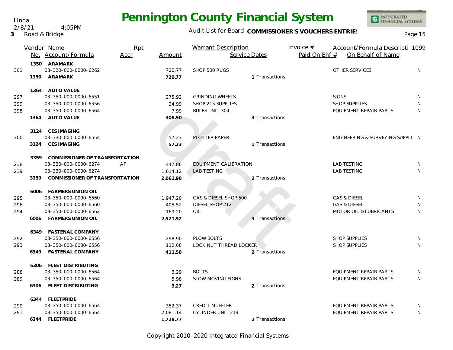#### Audit List for Board COMMISSIONER'S VOUCHERS ENTRIES<br>Page 15

|     |      | Vendor Name                           | Rpt  |            | <b>Warrant Description</b> |                | Invoice $#$   | Account/Formula Descripti 1099   |   |
|-----|------|---------------------------------------|------|------------|----------------------------|----------------|---------------|----------------------------------|---|
|     |      | No. Account/Formula                   | Accr | Amount     | Service Dates              |                | Paid On Bhf # | On Behalf of Name                |   |
|     | 1350 | ARAMARK                               |      |            |                            |                |               |                                  |   |
| 301 |      | 03-320-000-0000-6262                  |      | 720.77     | SHOP 500 RUGS              |                |               | OTHER SERVICES                   | N |
|     | 1350 | ARAMARK                               |      | 720.77     |                            | 1 Transactions |               |                                  |   |
|     |      | 1364 AUTO VALUE                       |      |            |                            |                |               |                                  |   |
| 297 |      | 03-350-000-0000-6551                  |      | 275.92     | <b>GRINDING WHEELS</b>     |                |               | <b>SIGNS</b>                     | N |
| 299 |      | 03-350-000-0000-6556                  |      | 24.99      | SHOP 215 SUPPLIES          |                |               | <b>SHOP SUPPLIES</b>             | N |
| 298 |      | 03-350-000-0000-6564                  |      | 7.99       | <b>BULBS UNIT 304</b>      |                |               | EQUIPMENT REPAIR PARTS           | N |
|     |      | 1364 AUTO VALUE                       |      | 308.90     |                            | 3 Transactions |               |                                  |   |
|     |      | 3124 CES IMAGING                      |      |            |                            |                |               |                                  |   |
| 300 |      | 03-330-000-0000-6554                  |      | 57.23      | PLOTTER PAPER              |                |               | ENGINEERING & SURVEYING SUPPLI N |   |
|     | 3124 | <b>CES IMAGING</b>                    |      | 57.23      |                            | 1 Transactions |               |                                  |   |
|     | 3359 | <b>COMMISSIONER OF TRANSPORTATION</b> |      |            |                            |                |               |                                  |   |
| 238 |      | 03-330-000-0000-6274                  | AP   | 447.86     | EQUIPMENT CALIBRATION      |                |               | <b>LAB TESTING</b>               | N |
| 239 |      | 03-330-000-0000-6274                  |      | 1,614.12   | <b>LAB TESTING</b>         |                |               | <b>LAB TESTING</b>               | N |
|     | 3359 | COMMISSIONER OF TRANSPORTATION        |      | 2,061.98   |                            | 2 Transactions |               |                                  |   |
|     |      | 6006 FARMERS UNION OIL                |      |            |                            |                |               |                                  |   |
| 295 |      | 03-350-000-0000-6560                  |      | 1,947.20   | GAS & DIESEL SHOP 500      |                |               | <b>GAS &amp; DIESEL</b>          | N |
| 296 |      | 03-350-000-0000-6560                  |      | 405.52     | DIESEL SHOP 212            |                |               | <b>GAS &amp; DIESEL</b>          | N |
| 294 |      | 03-350-000-0000-6562                  |      | 169.20     | OIL                        |                |               | MOTOR OIL & LUBRICANTS           | N |
|     |      | 6006 FARMERS UNION OIL                |      | 2,521.92   |                            | 3 Transactions |               |                                  |   |
|     |      | 6349 FASTENAL COMPANY                 |      |            |                            |                |               |                                  |   |
| 292 |      | 03-350-000-0000-6556                  |      | 298.90     | PLOW BOLTS                 |                |               | <b>SHOP SUPPLIES</b>             | N |
| 293 |      | 03-350-000-0000-6556                  |      | 112.68     | LOCK NUT THREAD LOCKER     |                |               | <b>SHOP SUPPLIES</b>             | N |
|     |      | 6349 FASTENAL COMPANY                 |      | 411.58     |                            | 2 Transactions |               |                                  |   |
|     |      | 6306 FLEET DISTRIBUTING               |      |            |                            |                |               |                                  |   |
| 288 |      | 03-350-000-0000-6564                  |      | 3.29       | <b>BOLTS</b>               |                |               | EQUIPMENT REPAIR PARTS           | N |
| 289 |      | 03-350-000-0000-6564                  |      | 5.98       | <b>SLOW MOVING SIGNS</b>   |                |               | <b>EQUIPMENT REPAIR PARTS</b>    | N |
|     |      | 6306 FLEET DISTRIBUTING               |      | 9.27       |                            | 2 Transactions |               |                                  |   |
|     |      | 6344 FLEETPRIDE                       |      |            |                            |                |               |                                  |   |
| 290 |      | 03-350-000-0000-6564                  |      | $352.37 -$ | <b>CREDIT MUFFLER</b>      |                |               | <b>EQUIPMENT REPAIR PARTS</b>    | N |
| 291 |      | 03-350-000-0000-6564                  |      | 2,081.14   | <b>CYLINDER UNIT 219</b>   |                |               | <b>EQUIPMENT REPAIR PARTS</b>    | N |
|     |      | 6344 FLEETPRIDE                       |      | 1,728.77   |                            | 2 Transactions |               |                                  |   |

Copyright 2010-2020 Integrated Financial Systems

Linda 2/8/21 4:05PM

**3** Road & Bridge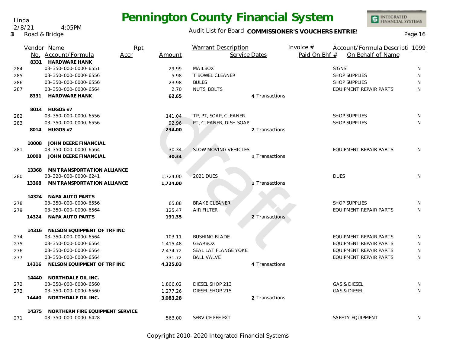

INTEGRATED<br>FINANCIAL SYSTEMS

|     |       | Vendor Name                       | Rpt         |          | <b>Warrant Description</b>  |                | Invoice $#$   | Account/Formula Descripti 1099 |    |
|-----|-------|-----------------------------------|-------------|----------|-----------------------------|----------------|---------------|--------------------------------|----|
|     |       | No. Account/Formula               | <b>Accr</b> | Amount   | Service Dates               |                | Paid On Bhf # | On Behalf of Name              |    |
|     |       | 8331 HARDWARE HANK                |             |          |                             |                |               |                                |    |
| 284 |       | 03-350-000-0000-6551              |             | 29.99    | <b>MAILBOX</b>              |                |               | <b>SIGNS</b>                   | N  |
| 285 |       | 03-350-000-0000-6556              |             | 5.98     | T BOWEL CLEANER             |                |               | <b>SHOP SUPPLIES</b>           | N  |
| 286 |       | 03-350-000-0000-6556              |             | 23.98    | <b>BULBS</b>                |                |               | <b>SHOP SUPPLIES</b>           | N  |
| 287 |       | 03-350-000-0000-6564              |             | 2.70     | <b>NUTS, BOLTS</b>          |                |               | <b>EQUIPMENT REPAIR PARTS</b>  | N  |
|     | 8331  | <b>HARDWARE HANK</b>              |             | 62.65    |                             | 4 Transactions |               |                                |    |
|     |       | 8014 HUGOS #7                     |             |          |                             |                |               |                                |    |
| 282 |       | 03-350-000-0000-6556              |             | 141.04   | TP, PT, SOAP, CLEANER       |                |               | <b>SHOP SUPPLIES</b>           | N  |
| 283 |       | 03-350-000-0000-6556              |             | 92.96    | PT, CLEANER, DISH SOAP      |                |               | <b>SHOP SUPPLIES</b>           | N  |
|     | 8014  | HUGOS #7                          |             | 234.00   |                             | 2 Transactions |               |                                |    |
|     | 10008 | JOHN DEERE FINANCIAL              |             |          |                             |                |               |                                |    |
| 281 |       | 03-350-000-0000-6564              |             | 30.34    | <b>SLOW MOVING VEHICLES</b> |                |               | <b>EQUIPMENT REPAIR PARTS</b>  | N  |
|     |       | 10008 JOHN DEERE FINANCIAL        |             | 30.34    |                             | 1 Transactions |               |                                |    |
|     |       | 13368 MN TRANSPORTATION ALLIANCE  |             |          |                             |                |               |                                |    |
| 280 |       | 03-320-000-0000-6241              |             | 1,724.00 | <b>2021 DUES</b>            |                |               | <b>DUES</b>                    | N  |
|     | 13368 | MN TRANSPORTATION ALLIANCE        |             | 1,724.00 |                             | Transactions   |               |                                |    |
|     |       | 14324 NAPA AUTO PARTS             |             |          |                             |                |               |                                |    |
| 278 |       | 03-350-000-0000-6556              |             | 65.88    | <b>BRAKE CLEANER</b>        |                |               | <b>SHOP SUPPLIES</b>           | N. |
| 279 |       | 03-350-000-0000-6564              |             | 125.47   | AIR FILTER                  |                |               | EQUIPMENT REPAIR PARTS         | N  |
|     | 14324 | NAPA AUTO PARTS                   |             | 191.35   |                             | 2 Transactions |               |                                |    |
|     |       | 14316 NELSON EQUIPMENT OF TRF INC |             |          |                             |                |               |                                |    |
| 274 |       | 03-350-000-0000-6564              |             | 103.11   | <b>BUSHING BLADE</b>        |                |               | EQUIPMENT REPAIR PARTS         | N  |
| 275 |       | 03-350-000-0000-6564              |             | 1,415.48 | <b>GEARBOX</b>              |                |               | EQUIPMENT REPAIR PARTS         | N  |
| 276 |       | 03-350-000-0000-6564              |             | 2,474.72 | SEAL LAT FLANGE YOKE        |                |               | EQUIPMENT REPAIR PARTS         | N  |
| 277 |       | 03-350-000-0000-6564              |             | 331.72   | <b>BALL VALVE</b>           |                |               | EQUIPMENT REPAIR PARTS         | N  |
|     | 14316 | NELSON EQUIPMENT OF TRF INC       |             | 4,325.03 |                             | 4 Transactions |               |                                |    |
|     | 14440 | NORTHDALE OIL INC.                |             |          |                             |                |               |                                |    |
| 272 |       | 03-350-000-0000-6560              |             | 1,806.02 | DIESEL SHOP 213             |                |               | <b>GAS &amp; DIESEL</b>        | N  |
| 273 |       | 03-350-000-0000-6560              |             | 1,277.26 | DIESEL SHOP 215             |                |               | <b>GAS &amp; DIESEL</b>        | N  |
|     | 14440 | NORTHDALE OIL INC.                |             | 3,083.28 |                             | 2 Transactions |               |                                |    |
|     | 14375 | NORTHERN FIRE EQUIPMENT SERVICE   |             |          |                             |                |               |                                |    |
| 271 |       | 03-350-000-0000-6428              |             | 563.00   | SERVICE FEE EXT             |                |               | <b>SAFETY EQUIPMENT</b>        | N  |

#### Linda 2/8/21 4:05PM

**3** Road & Bridge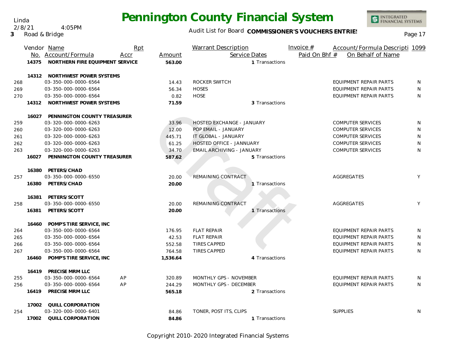INTEGRATED<br>FINANCIAL SYSTEMS

Linda 2/8/21 4:05PM

**3** Road & Bridge

|     |       | Vendor Name                     | Rpt  |          | <b>Warrant Description</b> | Invoice $#$   | Account/Formula Descripti 1099 |   |
|-----|-------|---------------------------------|------|----------|----------------------------|---------------|--------------------------------|---|
|     |       | No. Account/Formula             | Accr | Amount   | Service Dates              | Paid On Bhf # | On Behalf of Name              |   |
|     | 14375 | NORTHERN FIRE EQUIPMENT SERVICE |      | 563.00   | 1 Transactions             |               |                                |   |
|     |       | 14312 NORTHWEST POWER SYSTEMS   |      |          |                            |               |                                |   |
| 268 |       | 03-350-000-0000-6564            |      | 14.43    | ROCKER SWITCH              |               | <b>EQUIPMENT REPAIR PARTS</b>  | N |
| 269 |       | 03-350-000-0000-6564            |      | 56.34    | <b>HOSES</b>               |               | <b>EQUIPMENT REPAIR PARTS</b>  | N |
| 270 |       | 03-350-000-0000-6564            |      | 0.82     | <b>HOSE</b>                |               | EQUIPMENT REPAIR PARTS         | N |
|     |       | 14312 NORTHWEST POWER SYSTEMS   |      | 71.59    | 3 Transactions             |               |                                |   |
|     | 16027 | PENNINGTON COUNTY TREASURER     |      |          |                            |               |                                |   |
| 259 |       | 03-320-000-0000-6263            |      | 33.96    | HOSTED EXCHANGE - JANUARY  |               | <b>COMPUTER SERVICES</b>       | N |
| 260 |       | 03-320-000-0000-6263            |      | 12.00    | POP EMAIL - JANUARY        |               | <b>COMPUTER SERVICES</b>       | N |
| 261 |       | 03-320-000-0000-6263            |      | 445.71   | IT GLOBAL - JANUARY        |               | <b>COMPUTER SERVICES</b>       | N |
| 262 |       | 03-320-000-0000-6263            |      | 61.25    | HOSTED OFFICE - JANNUARY   |               | <b>COMPUTER SERVICES</b>       | N |
| 263 |       | 03-320-000-0000-6263            |      | 34.70    | EMAIL ARCHIVING - JANUARY  |               | <b>COMPUTER SERVICES</b>       | N |
|     | 16027 | PENNINGTON COUNTY TREASURER     |      | 587.62   | 5 Transactions             |               |                                |   |
|     | 16380 | PETERS/CHAD                     |      |          |                            |               |                                |   |
| 257 |       | 03-350-000-0000-6550            |      | 20.00    | REMAINING CONTRACT         |               | AGGREGATES                     | Y |
|     | 16380 | PETERS/CHAD                     |      | 20.00    | Transactions               |               |                                |   |
|     |       | 16381 PETERS/SCOTT              |      |          |                            |               |                                |   |
| 258 |       | 03-350-000-0000-6550            |      | 20.00    | REMAINING CONTRACT         |               | AGGREGATES                     | Y |
|     |       | 16381 PETERS/SCOTT              |      | 20.00    | 1 Transactions             |               |                                |   |
|     |       | 16460 POMP'S TIRE SERVICE, INC  |      |          |                            |               |                                |   |
| 264 |       | 03-350-000-0000-6564            |      | 176.95   | <b>FLAT REPAIR</b>         |               | <b>EQUIPMENT REPAIR PARTS</b>  | N |
| 265 |       | 03-350-000-0000-6564            |      | 42.53    | <b>FLAT REPAIR</b>         |               | EQUIPMENT REPAIR PARTS         | N |
| 266 |       | 03-350-000-0000-6564            |      | 552.58   | <b>TIRES CAPPED</b>        |               | EQUIPMENT REPAIR PARTS         | N |
| 267 |       | 03-350-000-0000-6564            |      | 764.58   | <b>TIRES CAPPED</b>        |               | <b>EQUIPMENT REPAIR PARTS</b>  | N |
|     | 16460 | POMP'S TIRE SERVICE, INC        |      | 1,536.64 | 4 Transactions             |               |                                |   |
|     |       | 16419 PRECISE MRM LLC           |      |          |                            |               |                                |   |
| 255 |       | 03-350-000-0000-6564            | AP   | 320.89   | MONTHLY GPS - NOVEMBER     |               | <b>EQUIPMENT REPAIR PARTS</b>  | N |
| 256 |       | 03-350-000-0000-6564            | AP   | 244.29   | MONTHLY GPS - DECEMBER     |               | <b>EQUIPMENT REPAIR PARTS</b>  | N |
|     | 16419 | PRECISE MRM LLC                 |      | 565.18   | 2 Transactions             |               |                                |   |
|     |       | 17002 QUILL CORPORATION         |      |          |                            |               |                                |   |
| 254 |       | 03-320-000-0000-6401            |      | 84.86    | TONER, POST ITS, CLIPS     |               | <b>SUPPLIES</b>                | N |
|     | 17002 | QUILL CORPORATION               |      | 84.86    | 1 Transactions             |               |                                |   |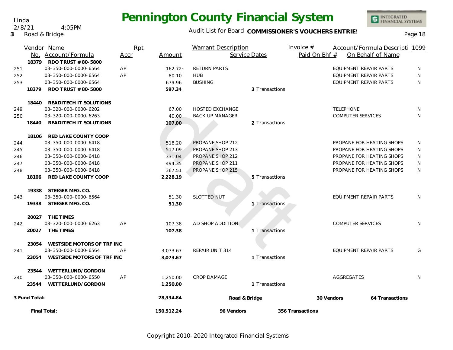

Audit List for Board COMMISSIONER'S VOUCHERS ENTRIES<br>Page 18

|     | 18379         | Vendor Name<br>No. Account/Formula<br>RDO TRUST # 80-5800 | Rpt<br>Accr | Amount     | Warrant Description    | Service Dates  | Invoice $#$<br>Paid On Bhf # |                               | Account/Formula Descripti 1099<br>On Behalf of Name |    |
|-----|---------------|-----------------------------------------------------------|-------------|------------|------------------------|----------------|------------------------------|-------------------------------|-----------------------------------------------------|----|
| 251 |               | 03-350-000-0000-6564                                      | AP          | $162.72 -$ | RETURN PARTS           |                |                              | EQUIPMENT REPAIR PARTS        |                                                     | N  |
| 252 |               | 03-350-000-0000-6564                                      | AP          | 80.10      | <b>HUB</b>             |                |                              | EQUIPMENT REPAIR PARTS        |                                                     | N  |
| 253 |               | 03-350-000-0000-6564                                      |             | 679.96     | <b>BUSHING</b>         |                |                              | <b>EQUIPMENT REPAIR PARTS</b> |                                                     | N  |
|     | 18379         | RDO TRUST # 80-5800                                       |             | 597.34     |                        | 3 Transactions |                              |                               |                                                     |    |
|     | 18440         | READITECH IT SOLUTIONS                                    |             |            |                        |                |                              |                               |                                                     |    |
| 249 |               | 03-320-000-0000-6202                                      |             | 67.00      | <b>HOSTED EXCHANGE</b> |                |                              | <b>TELEPHONE</b>              |                                                     | N. |
| 250 |               | 03-320-000-0000-6263                                      |             | 40.00      | <b>BACK UP MANAGER</b> |                |                              | <b>COMPUTER SERVICES</b>      |                                                     | N  |
|     | 18440         | READITECH IT SOLUTIONS                                    |             | 107.00     |                        | 2 Transactions |                              |                               |                                                     |    |
|     | 18106         | RED LAKE COUNTY COOP                                      |             |            |                        |                |                              |                               |                                                     |    |
| 244 |               | 03-350-000-0000-6418                                      |             | 518.20     | PROPANE SHOP 212       |                |                              | PROPANE FOR HEATING SHOPS     |                                                     | N  |
| 245 |               | 03-350-000-0000-6418                                      |             | 517.09     | PROPANE SHOP 213       |                |                              | PROPANE FOR HEATING SHOPS     |                                                     | N  |
| 246 |               | 03-350-000-0000-6418                                      |             | 331.04     | PROPANE SHOP 212       |                |                              | PROPANE FOR HEATING SHOPS     |                                                     | N  |
| 247 |               | 03-350-000-0000-6418                                      |             | 494.35     | PROPANE SHOP 211       |                |                              | PROPANE FOR HEATING SHOPS     |                                                     | N  |
| 248 |               | 03-350-000-0000-6418                                      |             | 367.51     | PROPANE SHOP 215       |                |                              | PROPANE FOR HEATING SHOPS     |                                                     | N  |
|     | 18106         | RED LAKE COUNTY COOP                                      |             | 2,228.19   |                        | 5 Transactions |                              |                               |                                                     |    |
|     |               | 19338 STEIGER MFG. CO.                                    |             |            |                        |                |                              |                               |                                                     |    |
| 243 |               | 03-350-000-0000-6564                                      |             | 51.30      | <b>SLOTTED NUT</b>     |                |                              | EQUIPMENT REPAIR PARTS        |                                                     | N  |
|     | 19338         | STEIGER MFG. CO.                                          |             | 51.30      |                        | 1 Transactions |                              |                               |                                                     |    |
|     |               | 20027 THE TIMES                                           |             |            |                        |                |                              |                               |                                                     |    |
| 242 |               | 03-320-000-0000-6263                                      | AP          | 107.38     | AD SHOP ADDITION       |                |                              | <b>COMPUTER SERVICES</b>      |                                                     | N. |
|     | 20027         | THE TIMES                                                 |             | 107.38     |                        | 1 Transactions |                              |                               |                                                     |    |
|     | 23054         | WESTSIDE MOTORS OF TRF INC                                |             |            |                        |                |                              |                               |                                                     |    |
| 241 |               | 03-350-000-0000-6564                                      | AP          | 3,073.67   | <b>REPAIR UNIT 314</b> |                |                              | <b>EQUIPMENT REPAIR PARTS</b> |                                                     | G  |
|     | 23054         | WESTSIDE MOTORS OF TRF INC                                |             | 3.073.67   |                        | 1 Transactions |                              |                               |                                                     |    |
|     | 23544         | WETTERLUND/GORDON                                         |             |            |                        |                |                              |                               |                                                     |    |
| 240 |               | 03-350-000-0000-6550                                      | AP          | 1,250.00   | CROP DAMAGE            |                |                              | <b>AGGREGATES</b>             |                                                     | N  |
|     |               | 23544 WETTERLUND/GORDON                                   |             | 1,250.00   |                        | 1 Transactions |                              |                               |                                                     |    |
|     | 3 Fund Total: |                                                           |             | 28,334.84  | Road & Bridge          |                | 30 Vendors                   |                               | 64 Transactions                                     |    |
|     |               | Final Total:                                              |             | 150,512.24 | 96 Vendors             |                | 356 Transactions             |                               |                                                     |    |

Copyright 2010-2020 Integrated Financial Systems

Linda 2/8/21 4:05PM

**3** Road & Bridge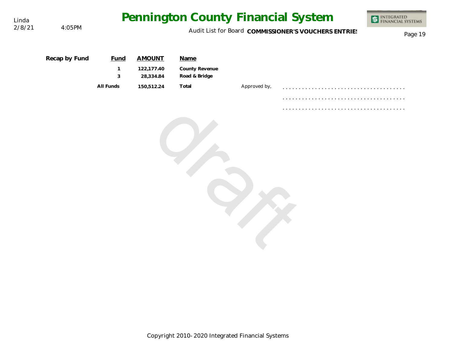

Linda<br>2/8/21

4:05PM

| Recap by Fund | <b>Fund</b><br>$\mathbf{1}$ | <b>AMOUNT</b><br>122,177.40 | <b>Name</b><br>County Revenue |              |        |
|---------------|-----------------------------|-----------------------------|-------------------------------|--------------|--------|
|               | $\sqrt{3}$                  | 28,334.84                   | Road & Bridge                 |              |        |
|               | All Funds                   | 150,512.24                  | Total                         | Approved by, |        |
|               |                             |                             |                               |              |        |
|               |                             |                             |                               |              | .<br>. |
|               |                             |                             |                               |              |        |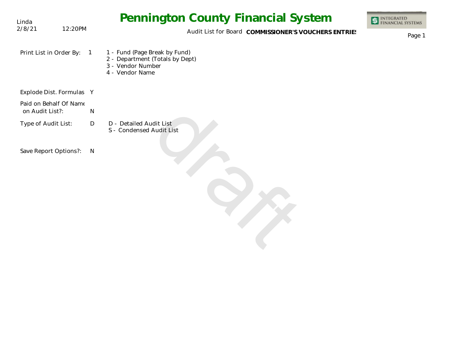| Linda                                     |         |                | Pennington County Financial System                                                                       | INTEGRATED<br>FINANCIAL SYSTEMS |
|-------------------------------------------|---------|----------------|----------------------------------------------------------------------------------------------------------|---------------------------------|
| 2/8/21                                    | 12:20PM |                | Audit List for Board COMMISSIONER'S VOUCHERS ENTRIES                                                     | Page 1                          |
| Print List in Order By:                   |         | $\overline{1}$ | 1 - Fund (Page Break by Fund)<br>2 - Department (Totals by Dept)<br>3 - Vendor Number<br>4 - Vendor Name |                                 |
| Explode Dist. Formulas Y                  |         |                |                                                                                                          |                                 |
| Paid on Behalf Of Name<br>on Audit List?: |         | ${\sf N}$      |                                                                                                          |                                 |
| Type of Audit List:                       |         | D              | D - Detailed Audit List<br>S - Condensed Audit List                                                      |                                 |
| Save Report Options?:                     |         | N              |                                                                                                          |                                 |
|                                           |         |                |                                                                                                          |                                 |
|                                           |         |                |                                                                                                          |                                 |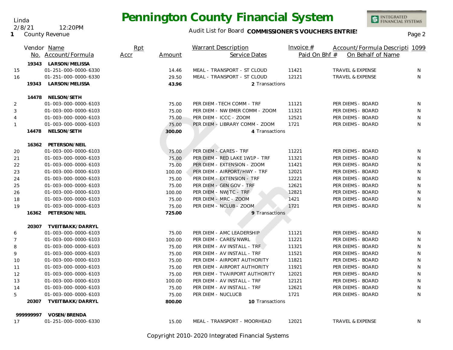Linda

**1** County Revenue

2/8/21 12:20PM

INTEGRATED<br>FINANCIAL SYSTEMS

|                |           | Vendor Name<br>No. Account/Formula           | Rpt<br>Accr | Amount | <b>Warrant Description</b><br>Service Dates | Invoice $#$<br>Paid On Bhf # | Account/Formula Descripti 1099<br>On Behalf of Name |   |
|----------------|-----------|----------------------------------------------|-------------|--------|---------------------------------------------|------------------------------|-----------------------------------------------------|---|
|                |           |                                              |             |        |                                             |                              |                                                     |   |
| 15             |           | 19343 LARSON/MELISSA<br>01-251-000-0000-6330 |             | 14.46  | MEAL - TRANSPORT - ST CLOUD                 | 11421                        | <b>TRAVEL &amp; EXPENSE</b>                         | N |
| 16             |           | 01-251-000-0000-6330                         |             | 29.50  | MEAL - TRANSPORT - ST CLOUD                 | 12121                        | <b>TRAVEL &amp; EXPENSE</b>                         | N |
|                | 19343     | LARSON/MELISSA                               |             | 43.96  | 2 Transactions                              |                              |                                                     |   |
|                |           |                                              |             |        |                                             |                              |                                                     |   |
|                |           | 14478 NELSON/SETH                            |             |        |                                             |                              |                                                     |   |
| $\overline{2}$ |           | 01-003-000-0000-6103                         |             | 75.00  | PER DIEM - TECH COMM - TRF                  | 11121                        | PER DIEMS - BOARD                                   | N |
| 3              |           | 01-003-000-0000-6103                         |             | 75.00  | PER DIEM - NW EMER COMM - ZOOM              | 11321                        | PER DIEMS - BOARD                                   | N |
| $\overline{4}$ |           | 01-003-000-0000-6103                         |             | 75.00  | PER DIEM - ICCC - ZOOM                      | 12521                        | PER DIEMS - BOARD                                   | N |
| $\mathbf{1}$   |           | 01-003-000-0000-6103                         |             | 75.00  | PER DIEM - LIBRARY COMM - ZOOM              | 1721                         | PER DIEMS - BOARD                                   | N |
|                | 14478     | NELSON/SETH                                  |             | 300.00 | 4 Transactions                              |                              |                                                     |   |
|                |           | 16362 PETERSON/NEIL                          |             |        |                                             |                              |                                                     |   |
| 20             |           | 01-003-000-0000-6103                         |             | 75.00  | PER DIEM - CARES - TRF                      | 11221                        | PER DIEMS - BOARD                                   | N |
| 21             |           | 01-003-000-0000-6103                         |             | 75.00  | PER DIEM - RED LAKE 1W1P - TRF              | 11321                        | PER DIEMS - BOARD                                   | N |
| 22             |           | 01-003-000-0000-6103                         |             | 75.00  | PER DIEM - EXTENSION - ZOOM                 | 11421                        | PER DIEMS - BOARD                                   | N |
| 23             |           | 01-003-000-0000-6103                         |             | 100.00 | PER DIEM - AIRPORT/HWY - TRF                | 12021                        | PER DIEMS - BOARD                                   | N |
| 24             |           | 01-003-000-0000-6103                         |             | 75.00  | PER DIEM - EXTENSION - TRF                  | 12221                        | PER DIEMS - BOARD                                   | N |
| 25             |           | 01-003-000-0000-6103                         |             | 75.00  | PER DIEM - GEN GOV - TRF                    | 12621                        | PER DIEMS - BOARD                                   | N |
| 26             |           | 01-003-000-0000-6103                         |             | 100.00 | PER DIEM - NWJTC - TRF                      | 12821                        | PER DIEMS - BOARD                                   | N |
| 18             |           | 01-003-000-0000-6103                         |             | 75.00  | PER DIEM - MRC - ZOOM                       | 1421                         | PER DIEMS - BOARD                                   | N |
| 19             |           | 01-003-000-0000-6103                         |             | 75.00  | PER DIEM - NCLUB - ZOOM                     | 1721                         | PER DIEMS - BOARD                                   | N |
|                | 16362     | PETERSON/NEIL                                |             | 725.00 | 9 Transactions                              |                              |                                                     |   |
|                |           |                                              |             |        |                                             |                              |                                                     |   |
|                | 20307     | TVEITBAKK/DARRYL                             |             |        |                                             |                              |                                                     |   |
| 6              |           | 01-003-000-0000-6103                         |             | 75.00  | PER DIEM - AMC LEADERSHIP                   | 11121                        | PER DIEMS - BOARD                                   | N |
| 7              |           | 01-003-000-0000-6103                         |             | 100.00 | PER DIEM - CARES/NWRL                       | 11221                        | PER DIEMS - BOARD                                   | N |
| 8              |           | 01-003-000-0000-6103                         |             | 75.00  | PER DIEM - AV INSTALL - TRF                 | 11321                        | PER DIEMS - BOARD                                   | N |
| 9              |           | 01-003-000-0000-6103                         |             | 75.00  | PER DIEM - AV INSTALL - TRF                 | 11521                        | PER DIEMS - BOARD                                   | N |
| 10             |           | 01-003-000-0000-6103                         |             | 75.00  | PER DIEM - AIRPORT AUTHORITY                | 11821                        | PER DIEMS - BOARD                                   | N |
| 11             |           | 01-003-000-0000-6103                         |             | 75.00  | PER DIEM - AIRPORT AUTHORITY                | 11921                        | PER DIEMS - BOARD                                   | N |
| 12             |           | 01-003-000-0000-6103                         |             | 75.00  | PER DIEM - TVAIRPORT AUTHORITY              | 12021                        | PER DIEMS - BOARD                                   | N |
| 13             |           | 01-003-000-0000-6103                         |             | 100.00 | PER DIEM - AV INSTALL - TRF                 | 12121                        | PER DIEMS - BOARD                                   | N |
| 14             |           | 01-003-000-0000-6103                         |             | 75.00  | PER DIEM - AV INSTALL - TRF                 | 12621                        | PER DIEMS - BOARD                                   | N |
| 5              |           | 01-003-000-0000-6103                         |             | 75.00  | PER DIEM - NUCLUCB                          | 1721                         | PER DIEMS - BOARD                                   | N |
|                | 20307     | TVEITBAKK/DARRYL                             |             | 800.00 | 10 Transactions                             |                              |                                                     |   |
|                | 999999997 | VOSEN/BRENDA                                 |             |        |                                             |                              |                                                     |   |
| 17             |           | 01-251-000-0000-6330                         |             | 15.00  | MEAL - TRANSPORT - MOORHEAD                 | 12021                        | <b>TRAVEL &amp; EXPENSE</b>                         | N |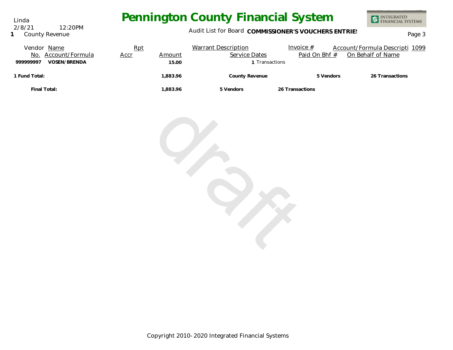Audit List for Board COMMISSIONER'S VOUCHERS ENTRIES<br>Page 3

INTEGRATED<br>FINANCIAL SYSTEMS

| Vendor Name               | Rpt         |          | <b>Warrant Description</b> | Invoice $#$     | Account/Formula Descripti 1099 |
|---------------------------|-------------|----------|----------------------------|-----------------|--------------------------------|
| Account/Formula<br>No.    | <u>Accr</u> | Amount   | Service Dates              | Paid On Bhf #   | On Behalf of Name              |
| VOSEN/BRENDA<br>999999997 |             | 15.00    | Transactions               |                 |                                |
| 1 Fund Total:             |             | 1.883.96 | County Revenue             | 5 Vendors       | 26 Transactions                |
| Final Total:              |             | 1.883.96 | 5 Vendors                  | 26 Transactions |                                |



Linda **1** County Revenue 2/8/21 12:20PM